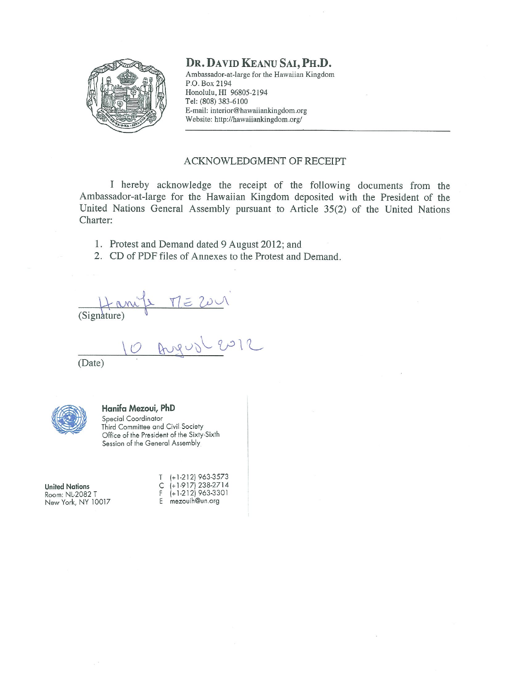

### DR. DAVID KEANU SAI, PH.D.

Ambassador-at-large for the Hawaiian Kingdom P.O. Box 2194 Honolulu, HI 96805-2194 Tel: (808) 383-6100 E-mail: interior@hawaiiankingdom.org Website: http://hawaiiankingdom.org/

#### ACKNOWLEDGMENT OF RECEIPT

I hereby acknowledge the receipt of the following documents from the Ambassador-at-large for the Hawaiian Kingdom deposited with the President of the United Nations General Assembly pursuant to Article 35(2) of the United Nations Charter:

- 1. Protest and Demand dated 9 August 2012; and
- 2. CD of PDF files of Annexes to the Protest and Demand.

(Signature) MEZOUI<br>(Signature) Angusteur

(Date)



#### Hanifa Mezoui, PhD

Special Coordinator Third Committee and Civil Society Office of the President of the Sixty-Sixth Session of the General Assembly

**United Nations** Room: NL-2082 T New York, NY 10017

 $(+1-212)$  963-3573  $(+1.917)$  238-2714<br> $(+1.212)$  963-3301  $\mathsf C$  $F$ E mezouih@un.org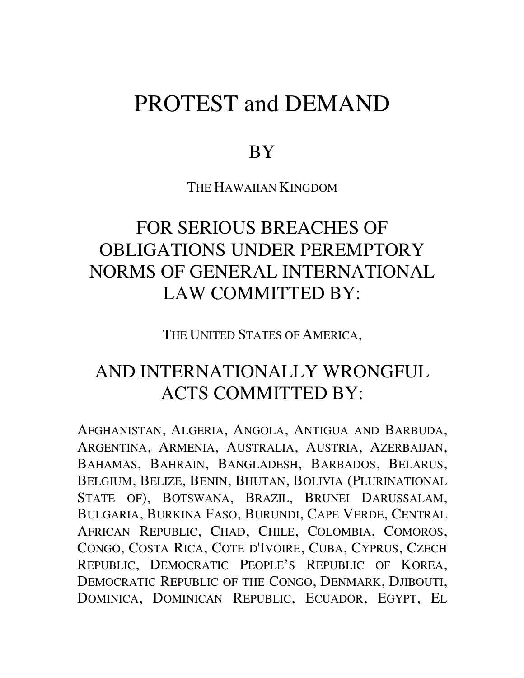# PROTEST and DEMAND

## **BY**

THE HAWAIIAN KINGDOM

# FOR SERIOUS BREACHES OF OBLIGATIONS UNDER PEREMPTORY NORMS OF GENERAL INTERNATIONAL LAW COMMITTED BY:

THE UNITED STATES OF AMERICA,

# AND INTERNATIONALLY WRONGFUL ACTS COMMITTED BY:

AFGHANISTAN, ALGERIA, ANGOLA, ANTIGUA AND BARBUDA, ARGENTINA, ARMENIA, AUSTRALIA, AUSTRIA, AZERBAIJAN, BAHAMAS, BAHRAIN, BANGLADESH, BARBADOS, BELARUS, BELGIUM, BELIZE, BENIN, BHUTAN, BOLIVIA (PLURINATIONAL STATE OF), BOTSWANA, BRAZIL, BRUNEI DARUSSALAM, BULGARIA, BURKINA FASO, BURUNDI, CAPE VERDE, CENTRAL AFRICAN REPUBLIC, CHAD, CHILE, COLOMBIA, COMOROS, CONGO, COSTA RICA, COTE D'IVOIRE, CUBA, CYPRUS, CZECH REPUBLIC, DEMOCRATIC PEOPLE'S REPUBLIC OF KOREA, DEMOCRATIC REPUBLIC OF THE CONGO, DENMARK, DJIBOUTI, DOMINICA, DOMINICAN REPUBLIC, ECUADOR, EGYPT, EL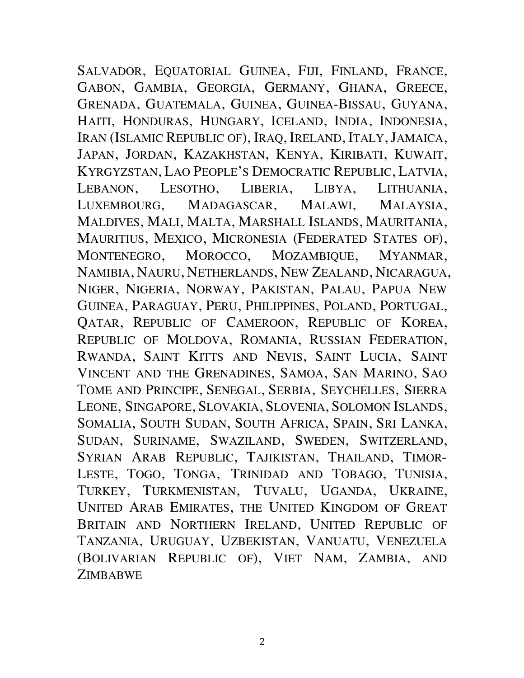SALVADOR, EQUATORIAL GUINEA, FIJI, FINLAND, FRANCE, GABON, GAMBIA, GEORGIA, GERMANY, GHANA, GREECE, GRENADA, GUATEMALA, GUINEA, GUINEA-BISSAU, GUYANA, HAITI, HONDURAS, HUNGARY, ICELAND, INDIA, INDONESIA, IRAN (ISLAMIC REPUBLIC OF), IRAQ, IRELAND, ITALY, JAMAICA, JAPAN, JORDAN, KAZAKHSTAN, KENYA, KIRIBATI, KUWAIT, KYRGYZSTAN, LAO PEOPLE'S DEMOCRATIC REPUBLIC, LATVIA, LEBANON, LESOTHO, LIBERIA, LIBYA, LITHUANIA, LUXEMBOURG, MADAGASCAR, MALAWI, MALAYSIA, MALDIVES, MALI, MALTA, MARSHALL ISLANDS, MAURITANIA, MAURITIUS, MEXICO, MICRONESIA (FEDERATED STATES OF), MONTENEGRO, MOROCCO, MOZAMBIQUE, MYANMAR, NAMIBIA, NAURU, NETHERLANDS, NEW ZEALAND, NICARAGUA, NIGER, NIGERIA, NORWAY, PAKISTAN, PALAU, PAPUA NEW GUINEA, PARAGUAY, PERU, PHILIPPINES, POLAND, PORTUGAL, QATAR, REPUBLIC OF CAMEROON, REPUBLIC OF KOREA, REPUBLIC OF MOLDOVA, ROMANIA, RUSSIAN FEDERATION, RWANDA, SAINT KITTS AND NEVIS, SAINT LUCIA, SAINT VINCENT AND THE GRENADINES, SAMOA, SAN MARINO, SAO TOME AND PRINCIPE, SENEGAL, SERBIA, SEYCHELLES, SIERRA LEONE, SINGAPORE, SLOVAKIA, SLOVENIA, SOLOMON ISLANDS, SOMALIA, SOUTH SUDAN, SOUTH AFRICA, SPAIN, SRI LANKA, SUDAN, SURINAME, SWAZILAND, SWEDEN, SWITZERLAND, SYRIAN ARAB REPUBLIC, TAJIKISTAN, THAILAND, TIMOR-LESTE, TOGO, TONGA, TRINIDAD AND TOBAGO, TUNISIA, TURKEY, TURKMENISTAN, TUVALU, UGANDA, UKRAINE, UNITED ARAB EMIRATES, THE UNITED KINGDOM OF GREAT BRITAIN AND NORTHERN IRELAND, UNITED REPUBLIC OF TANZANIA, URUGUAY, UZBEKISTAN, VANUATU, VENEZUELA (BOLIVARIAN REPUBLIC OF), VIET NAM, ZAMBIA, AND **ZIMBABWE**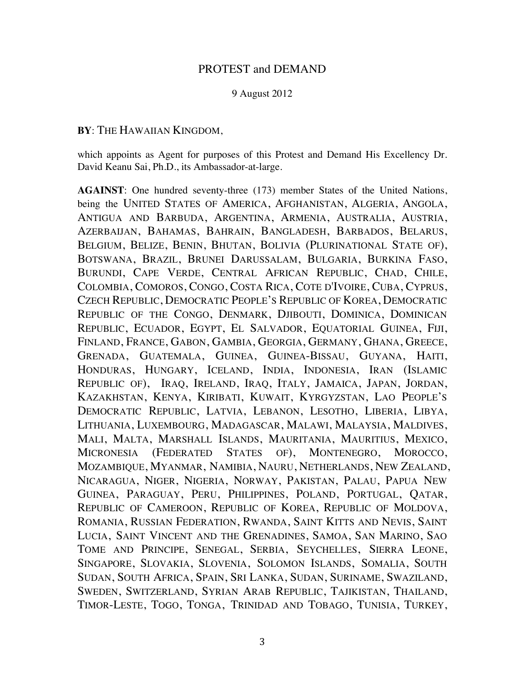### PROTEST and DEMAND

#### 9 August 2012

#### **BY**: THE HAWAIIAN KINGDOM,

which appoints as Agent for purposes of this Protest and Demand His Excellency Dr. David Keanu Sai, Ph.D., its Ambassador-at-large.

**AGAINST**: One hundred seventy-three (173) member States of the United Nations, being the UNITED STATES OF AMERICA, AFGHANISTAN, ALGERIA, ANGOLA, ANTIGUA AND BARBUDA, ARGENTINA, ARMENIA, AUSTRALIA, AUSTRIA, AZERBAIJAN, BAHAMAS, BAHRAIN, BANGLADESH, BARBADOS, BELARUS, BELGIUM, BELIZE, BENIN, BHUTAN, BOLIVIA (PLURINATIONAL STATE OF), BOTSWANA, BRAZIL, BRUNEI DARUSSALAM, BULGARIA, BURKINA FASO, BURUNDI, CAPE VERDE, CENTRAL AFRICAN REPUBLIC, CHAD, CHILE, COLOMBIA, COMOROS, CONGO, COSTA RICA, COTE D'IVOIRE, CUBA, CYPRUS, CZECH REPUBLIC, DEMOCRATIC PEOPLE'S REPUBLIC OF KOREA, DEMOCRATIC REPUBLIC OF THE CONGO, DENMARK, DJIBOUTI, DOMINICA, DOMINICAN REPUBLIC, ECUADOR, EGYPT, EL SALVADOR, EQUATORIAL GUINEA, FIJI, FINLAND, FRANCE, GABON, GAMBIA, GEORGIA, GERMANY, GHANA, GREECE, GRENADA, GUATEMALA, GUINEA, GUINEA-BISSAU, GUYANA, HAITI, HONDURAS, HUNGARY, ICELAND, INDIA, INDONESIA, IRAN (ISLAMIC REPUBLIC OF), IRAQ, IRELAND, IRAQ, ITALY, JAMAICA, JAPAN, JORDAN, KAZAKHSTAN, KENYA, KIRIBATI, KUWAIT, KYRGYZSTAN, LAO PEOPLE'S DEMOCRATIC REPUBLIC, LATVIA, LEBANON, LESOTHO, LIBERIA, LIBYA, LITHUANIA, LUXEMBOURG, MADAGASCAR, MALAWI, MALAYSIA, MALDIVES, MALI, MALTA, MARSHALL ISLANDS, MAURITANIA, MAURITIUS, MEXICO, MICRONESIA (FEDERATED STATES OF), MONTENEGRO, MOROCCO, MOZAMBIQUE, MYANMAR, NAMIBIA, NAURU, NETHERLANDS, NEW ZEALAND, NICARAGUA, NIGER, NIGERIA, NORWAY, PAKISTAN, PALAU, PAPUA NEW GUINEA, PARAGUAY, PERU, PHILIPPINES, POLAND, PORTUGAL, QATAR, REPUBLIC OF CAMEROON, REPUBLIC OF KOREA, REPUBLIC OF MOLDOVA, ROMANIA, RUSSIAN FEDERATION, RWANDA, SAINT KITTS AND NEVIS, SAINT LUCIA, SAINT VINCENT AND THE GRENADINES, SAMOA, SAN MARINO, SAO TOME AND PRINCIPE, SENEGAL, SERBIA, SEYCHELLES, SIERRA LEONE, SINGAPORE, SLOVAKIA, SLOVENIA, SOLOMON ISLANDS, SOMALIA, SOUTH SUDAN, SOUTH AFRICA, SPAIN, SRI LANKA, SUDAN, SURINAME, SWAZILAND, SWEDEN, SWITZERLAND, SYRIAN ARAB REPUBLIC, TAJIKISTAN, THAILAND, TIMOR-LESTE, TOGO, TONGA, TRINIDAD AND TOBAGO, TUNISIA, TURKEY,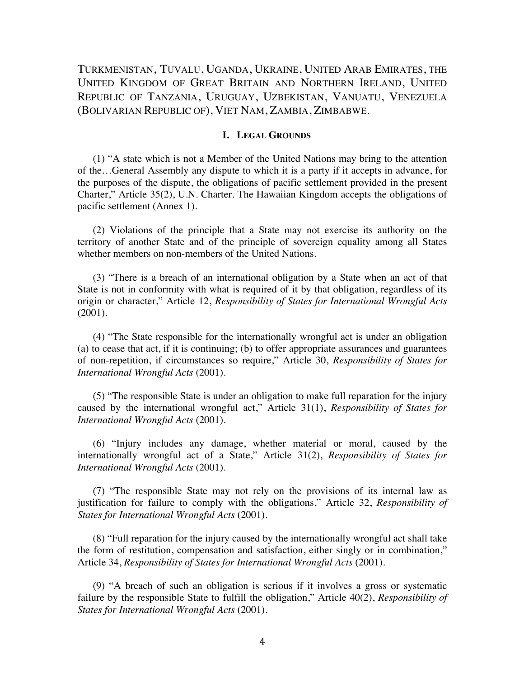TURKMENISTAN, TUVALU, UGANDA, UKRAINE, UNITED ARAB EMIRATES, THE UNITED KINGDOM OF GREAT BRITAIN AND NORTHERN IRELAND, UNITED REPUBLIC OF TANZANIA, URUGUAY, UZBEKISTAN, VANUATU, VENEZUELA (BOLIVARIAN REPUBLIC OF), VIET NAM, ZAMBIA, ZIMBABWE.

#### **I. LEGAL GROUNDS**

(1) "A state which is not a Member of the United Nations may bring to the attention of the…General Assembly any dispute to which it is a party if it accepts in advance, for the purposes of the dispute, the obligations of pacific settlement provided in the present Charter," Article 35(2), U.N. Charter. The Hawaiian Kingdom accepts the obligations of pacific settlement (Annex 1).

(2) Violations of the principle that a State may not exercise its authority on the territory of another State and of the principle of sovereign equality among all States whether members on non-members of the United Nations.

(3) "There is a breach of an international obligation by a State when an act of that State is not in conformity with what is required of it by that obligation, regardless of its origin or character," Article 12, *Responsibility of States for International Wrongful Acts* (2001).

(4) "The State responsible for the internationally wrongful act is under an obligation (a) to cease that act, if it is continuing; (b) to offer appropriate assurances and guarantees of non-repetition, if circumstances so require," Article 30, *Responsibility of States for International Wrongful Acts* (2001).

(5) "The responsible State is under an obligation to make full reparation for the injury caused by the international wrongful act," Article 31(1), *Responsibility of States for International Wrongful Acts* (2001).

(6) "Injury includes any damage, whether material or moral, caused by the internationally wrongful act of a State," Article 31(2), *Responsibility of States for International Wrongful Acts* (2001).

(7) "The responsible State may not rely on the provisions of its internal law as justification for failure to comply with the obligations," Article 32, *Responsibility of States for International Wrongful Acts* (2001).

(8) "Full reparation for the injury caused by the internationally wrongful act shall take the form of restitution, compensation and satisfaction, either singly or in combination," Article 34, *Responsibility of States for International Wrongful Acts* (2001).

(9) "A breach of such an obligation is serious if it involves a gross or systematic failure by the responsible State to fulfill the obligation," Article 40(2), *Responsibility of States for International Wrongful Acts* (2001).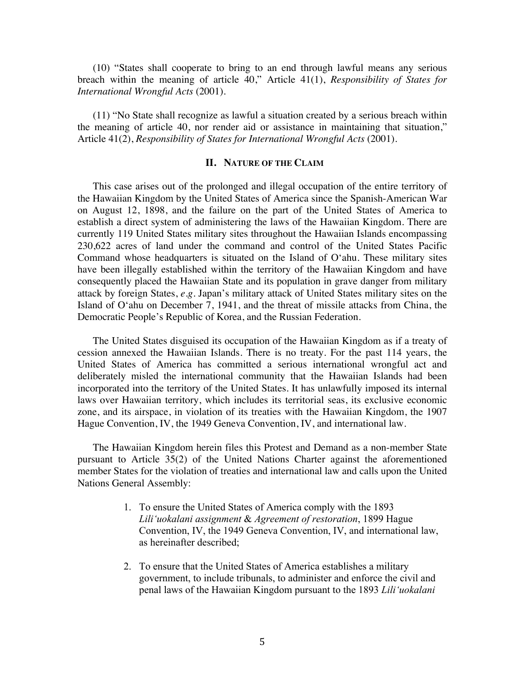(10) "States shall cooperate to bring to an end through lawful means any serious breach within the meaning of article 40," Article 41(1), *Responsibility of States for International Wrongful Acts* (2001).

(11) "No State shall recognize as lawful a situation created by a serious breach within the meaning of article 40, nor render aid or assistance in maintaining that situation," Article 41(2), *Responsibility of States for International Wrongful Acts* (2001).

#### **II. NATURE OF THE CLAIM**

This case arises out of the prolonged and illegal occupation of the entire territory of the Hawaiian Kingdom by the United States of America since the Spanish-American War on August 12, 1898, and the failure on the part of the United States of America to establish a direct system of administering the laws of the Hawaiian Kingdom. There are currently 119 United States military sites throughout the Hawaiian Islands encompassing 230,622 acres of land under the command and control of the United States Pacific Command whose headquarters is situated on the Island of O'ahu. These military sites have been illegally established within the territory of the Hawaiian Kingdom and have consequently placed the Hawaiian State and its population in grave danger from military attack by foreign States, *e.g.* Japan's military attack of United States military sites on the Island of O'ahu on December 7, 1941, and the threat of missile attacks from China, the Democratic People's Republic of Korea, and the Russian Federation.

The United States disguised its occupation of the Hawaiian Kingdom as if a treaty of cession annexed the Hawaiian Islands. There is no treaty. For the past 114 years, the United States of America has committed a serious international wrongful act and deliberately misled the international community that the Hawaiian Islands had been incorporated into the territory of the United States. It has unlawfully imposed its internal laws over Hawaiian territory, which includes its territorial seas, its exclusive economic zone, and its airspace, in violation of its treaties with the Hawaiian Kingdom, the 1907 Hague Convention, IV, the 1949 Geneva Convention, IV, and international law.

The Hawaiian Kingdom herein files this Protest and Demand as a non-member State pursuant to Article 35(2) of the United Nations Charter against the aforementioned member States for the violation of treaties and international law and calls upon the United Nations General Assembly:

- 1. To ensure the United States of America comply with the 1893 *Lili'uokalani assignment* & *Agreement of restoration*, 1899 Hague Convention, IV, the 1949 Geneva Convention, IV, and international law, as hereinafter described;
- 2. To ensure that the United States of America establishes a military government, to include tribunals, to administer and enforce the civil and penal laws of the Hawaiian Kingdom pursuant to the 1893 *Lili'uokalani*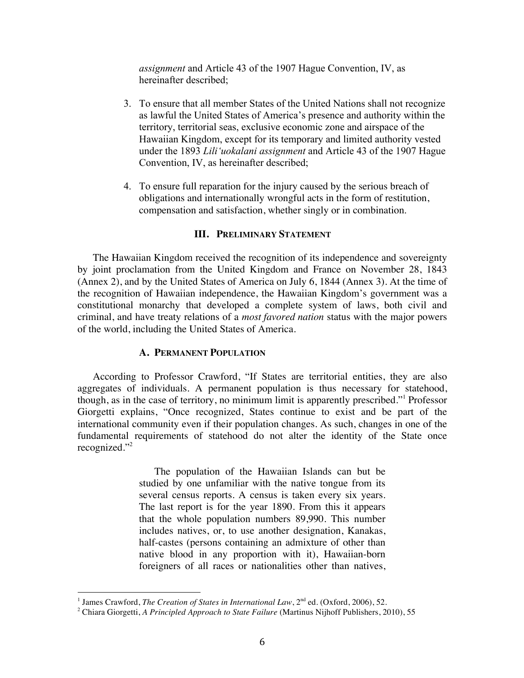*assignment* and Article 43 of the 1907 Hague Convention, IV, as hereinafter described;

- 3. To ensure that all member States of the United Nations shall not recognize as lawful the United States of America's presence and authority within the territory, territorial seas, exclusive economic zone and airspace of the Hawaiian Kingdom, except for its temporary and limited authority vested under the 1893 *Lili'uokalani assignment* and Article 43 of the 1907 Hague Convention, IV, as hereinafter described;
- 4. To ensure full reparation for the injury caused by the serious breach of obligations and internationally wrongful acts in the form of restitution, compensation and satisfaction, whether singly or in combination.

#### **III. PRELIMINARY STATEMENT**

The Hawaiian Kingdom received the recognition of its independence and sovereignty by joint proclamation from the United Kingdom and France on November 28, 1843 (Annex 2), and by the United States of America on July 6, 1844 (Annex 3). At the time of the recognition of Hawaiian independence, the Hawaiian Kingdom's government was a constitutional monarchy that developed a complete system of laws, both civil and criminal, and have treaty relations of a *most favored nation* status with the major powers of the world, including the United States of America.

#### **A. PERMANENT POPULATION**

According to Professor Crawford, "If States are territorial entities, they are also aggregates of individuals. A permanent population is thus necessary for statehood, though, as in the case of territory, no minimum limit is apparently prescribed."1 Professor Giorgetti explains, "Once recognized, States continue to exist and be part of the international community even if their population changes. As such, changes in one of the fundamental requirements of statehood do not alter the identity of the State once recognized."2

> The population of the Hawaiian Islands can but be studied by one unfamiliar with the native tongue from its several census reports. A census is taken every six years. The last report is for the year 1890. From this it appears that the whole population numbers 89,990. This number includes natives, or, to use another designation, Kanakas, half-castes (persons containing an admixture of other than native blood in any proportion with it), Hawaiian-born foreigners of all races or nationalities other than natives,

<sup>&</sup>lt;sup>1</sup> James Crawford, *The Creation of States in International Law*, 2<sup>nd</sup> ed. (Oxford, 2006), 52.

<sup>2</sup> Chiara Giorgetti, *A Principled Approach to State Failure* (Martinus Nijhoff Publishers, 2010), 55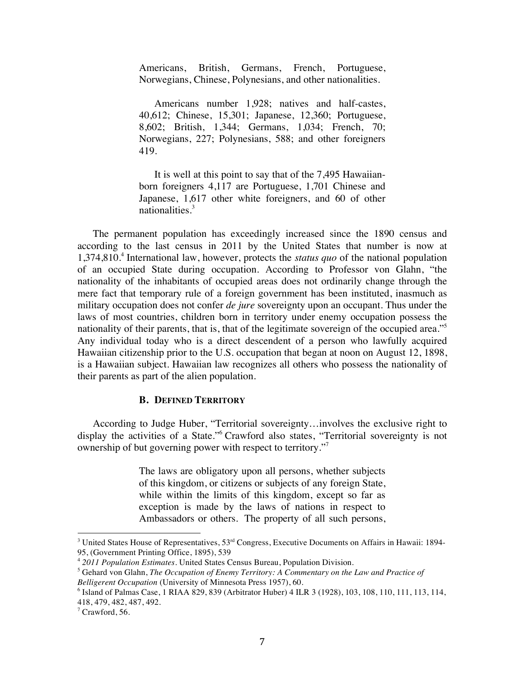Americans, British, Germans, French, Portuguese, Norwegians, Chinese, Polynesians, and other nationalities.

Americans number 1,928; natives and half-castes, 40,612; Chinese, 15,301; Japanese, 12,360; Portuguese, 8,602; British, 1,344; Germans, 1,034; French, 70; Norwegians, 227; Polynesians, 588; and other foreigners 419.

It is well at this point to say that of the 7,495 Hawaiianborn foreigners 4,117 are Portuguese, 1,701 Chinese and Japanese, 1,617 other white foreigners, and 60 of other nationalities.<sup>3</sup>

The permanent population has exceedingly increased since the 1890 census and according to the last census in 2011 by the United States that number is now at 1,374,810.4 International law, however, protects the *status quo* of the national population of an occupied State during occupation. According to Professor von Glahn, "the nationality of the inhabitants of occupied areas does not ordinarily change through the mere fact that temporary rule of a foreign government has been instituted, inasmuch as military occupation does not confer *de jure* sovereignty upon an occupant. Thus under the laws of most countries, children born in territory under enemy occupation possess the nationality of their parents, that is, that of the legitimate sovereign of the occupied area."<sup>5</sup> Any individual today who is a direct descendent of a person who lawfully acquired Hawaiian citizenship prior to the U.S. occupation that began at noon on August 12, 1898, is a Hawaiian subject. Hawaiian law recognizes all others who possess the nationality of their parents as part of the alien population.

#### **B. DEFINED TERRITORY**

According to Judge Huber, "Territorial sovereignty…involves the exclusive right to display the activities of a State."<sup>6</sup> Crawford also states, "Territorial sovereignty is not ownership of but governing power with respect to territory."7

> The laws are obligatory upon all persons, whether subjects of this kingdom, or citizens or subjects of any foreign State, while within the limits of this kingdom, except so far as exception is made by the laws of nations in respect to Ambassadors or others. The property of all such persons,

<sup>&</sup>lt;sup>3</sup> United States House of Representatives,  $53<sup>rd</sup>$  Congress, Executive Documents on Affairs in Hawaii: 1894-95, (Government Printing Office, 1895), 539

<sup>4</sup> *2011 Population Estimates*. United States Census Bureau, Population Division.

<sup>5</sup> Gehard von Glahn, *The Occupation of Enemy Territory: A Commentary on the Law and Practice of Belligerent Occupation* (University of Minnesota Press 1957), 60.

<sup>6</sup> Island of Palmas Case, 1 RIAA 829, 839 (Arbitrator Huber) 4 ILR 3 (1928), 103, 108, 110, 111, 113, 114, 418, 479, 482, 487, 492.

<sup>7</sup> Crawford, 56.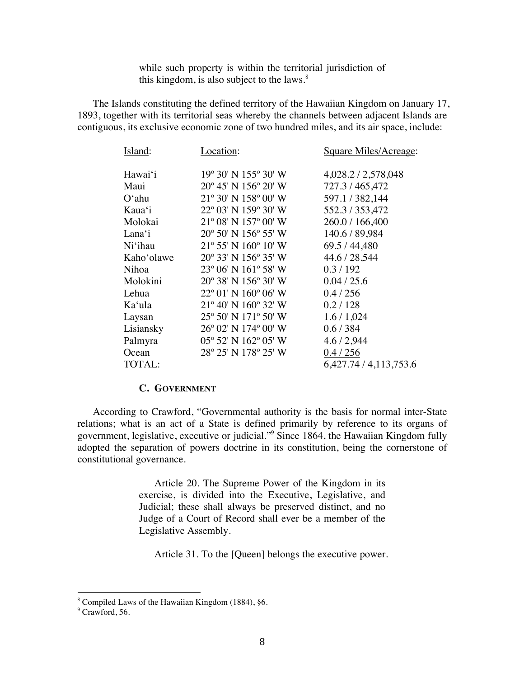while such property is within the territorial jurisdiction of this kingdom, is also subject to the laws. $8$ 

The Islands constituting the defined territory of the Hawaiian Kingdom on January 17, 1893, together with its territorial seas whereby the channels between adjacent Islands are contiguous, its exclusive economic zone of two hundred miles, and its air space, include:

| Island:            | Location:                               | Square Miles/Acreage:  |
|--------------------|-----------------------------------------|------------------------|
|                    |                                         |                        |
| Hawai'i            | 19° 30' N 155° 30' W                    | 4,028.2 / 2,578,048    |
| Maui               | $20^{\circ}$ 45' N 156° 20' W           | 727.3/465,472          |
| $O^{\epsilon}$ ahu | 21° 30' N 158° 00' W                    | 597.1 / 382,144        |
| Kaua'i             | 22° 03' N 159° 30' W                    | 552.3 / 353,472        |
| Molokai            | $21^{\circ}$ 08' N $157^{\circ}$ 00' W  | 260.0 / 166,400        |
| Lana'i             | $20^{\circ}$ 50' N 156 $^{\circ}$ 55' W | 140.6 / 89,984         |
| Ni'ihau            | $21^{\circ}$ 55' N 160 $^{\circ}$ 10' W | 69.5 / 44,480          |
| Kaho'olawe         | 20° 33' N 156° 35' W                    | 44.6 / 28,544          |
| Nihoa              | $23^{\circ}$ 06' N 161° 58' W           | 0.3/192                |
| Molokini           | 20° 38' N 156° 30' W                    | 0.04 / 25.6            |
| Lehua              | $22^{\circ}$ 01' N 160 $^{\circ}$ 06' W | 0.4 / 256              |
| Ka'ula             | 21° 40' N 160° 32' W                    | 0.2 / 128              |
| Laysan             | 25° 50' N 171° 50' W                    | 1.6/1,024              |
| Lisiansky          | 26° 02′ N 174° 00′ W                    | 0.6 / 384              |
| Palmyra            | 05° 52′ N 162° 05′ W                    | 4.6/2,944              |
| Ocean              | 28° 25' N 178° 25' W                    | 0.4 / 256              |
| TOTAL:             |                                         | 6,427.74 / 4,113,753.6 |

#### **C. GOVERNMENT**

According to Crawford, "Governmental authority is the basis for normal inter-State relations; what is an act of a State is defined primarily by reference to its organs of government, legislative, executive or judicial."9 Since 1864, the Hawaiian Kingdom fully adopted the separation of powers doctrine in its constitution, being the cornerstone of constitutional governance.

> Article 20. The Supreme Power of the Kingdom in its exercise, is divided into the Executive, Legislative, and Judicial; these shall always be preserved distinct, and no Judge of a Court of Record shall ever be a member of the Legislative Assembly.

Article 31. To the [Queen] belongs the executive power.

<sup>8</sup> Compiled Laws of the Hawaiian Kingdom (1884), §6.

<sup>&</sup>lt;sup>9</sup> Crawford, 56.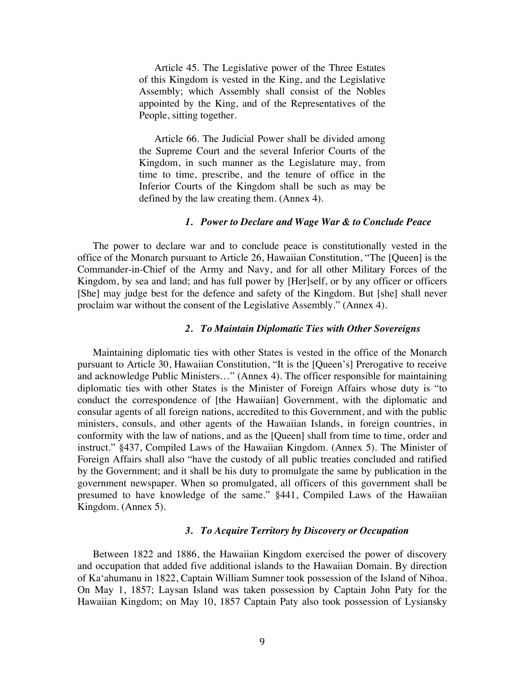Article 45. The Legislative power of the Three Estates of this Kingdom is vested in the King, and the Legislative Assembly; which Assembly shall consist of the Nobles appointed by the King, and of the Representatives of the People, sitting together.

Article 66. The Judicial Power shall be divided among the Supreme Court and the several Inferior Courts of the Kingdom, in such manner as the Legislature may, from time to time, prescribe, and the tenure of office in the Inferior Courts of the Kingdom shall be such as may be defined by the law creating them. (Annex 4).

#### *1. Power to Declare and Wage War & to Conclude Peace*

The power to declare war and to conclude peace is constitutionally vested in the office of the Monarch pursuant to Article 26, Hawaiian Constitution, "The [Queen] is the Commander-in-Chief of the Army and Navy, and for all other Military Forces of the Kingdom, by sea and land; and has full power by [Her]self, or by any officer or officers [She] may judge best for the defence and safety of the Kingdom. But [she] shall never proclaim war without the consent of the Legislative Assembly." (Annex 4).

#### *2. To Maintain Diplomatic Ties with Other Sovereigns*

Maintaining diplomatic ties with other States is vested in the office of the Monarch pursuant to Article 30, Hawaiian Constitution, "It is the [Queen's] Prerogative to receive and acknowledge Public Ministers…" (Annex 4). The officer responsible for maintaining diplomatic ties with other States is the Minister of Foreign Affairs whose duty is "to conduct the correspondence of [the Hawaiian] Government, with the diplomatic and consular agents of all foreign nations, accredited to this Government, and with the public ministers, consuls, and other agents of the Hawaiian Islands, in foreign countries, in conformity with the law of nations, and as the [Queen] shall from time to time, order and instruct." §437, Compiled Laws of the Hawaiian Kingdom. (Annex 5). The Minister of Foreign Affairs shall also "have the custody of all public treaties concluded and ratified by the Government; and it shall be his duty to promulgate the same by publication in the government newspaper. When so promulgated, all officers of this government shall be presumed to have knowledge of the same." §441, Compiled Laws of the Hawaiian Kingdom. (Annex 5).

#### *3. To Acquire Territory by Discovery or Occupation*

Between 1822 and 1886, the Hawaiian Kingdom exercised the power of discovery and occupation that added five additional islands to the Hawaiian Domain. By direction of Ka'ahumanu in 1822, Captain William Sumner took possession of the Island of Nihoa. On May 1, 1857; Laysan Island was taken possession by Captain John Paty for the Hawaiian Kingdom; on May 10, 1857 Captain Paty also took possession of Lysiansky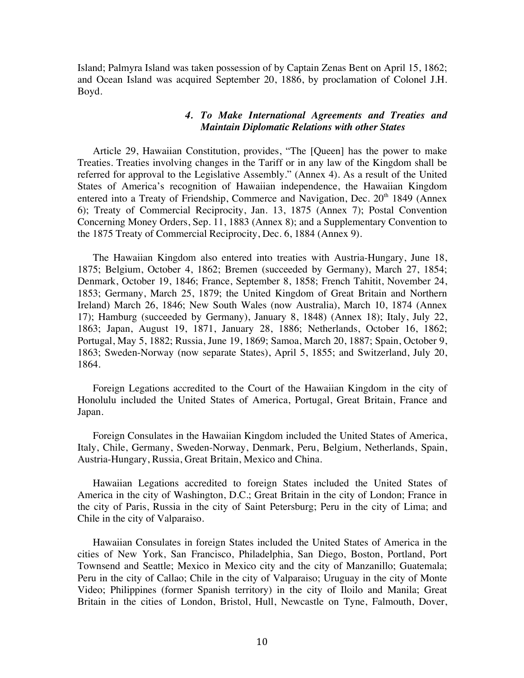Island; Palmyra Island was taken possession of by Captain Zenas Bent on April 15, 1862; and Ocean Island was acquired September 20, 1886, by proclamation of Colonel J.H. Boyd.

#### *4. To Make International Agreements and Treaties and Maintain Diplomatic Relations with other States*

Article 29, Hawaiian Constitution, provides, "The [Queen] has the power to make Treaties. Treaties involving changes in the Tariff or in any law of the Kingdom shall be referred for approval to the Legislative Assembly." (Annex 4). As a result of the United States of America's recognition of Hawaiian independence, the Hawaiian Kingdom entered into a Treaty of Friendship, Commerce and Navigation, Dec. 20<sup>th</sup> 1849 (Annex 6); Treaty of Commercial Reciprocity, Jan. 13, 1875 (Annex 7); Postal Convention Concerning Money Orders, Sep. 11, 1883 (Annex 8); and a Supplementary Convention to the 1875 Treaty of Commercial Reciprocity, Dec. 6, 1884 (Annex 9).

The Hawaiian Kingdom also entered into treaties with Austria-Hungary, June 18, 1875; Belgium, October 4, 1862; Bremen (succeeded by Germany), March 27, 1854; Denmark, October 19, 1846; France, September 8, 1858; French Tahitit, November 24, 1853; Germany, March 25, 1879; the United Kingdom of Great Britain and Northern Ireland) March 26, 1846; New South Wales (now Australia), March 10, 1874 (Annex 17); Hamburg (succeeded by Germany), January 8, 1848) (Annex 18); Italy, July 22, 1863; Japan, August 19, 1871, January 28, 1886; Netherlands, October 16, 1862; Portugal, May 5, 1882; Russia, June 19, 1869; Samoa, March 20, 1887; Spain, October 9, 1863; Sweden-Norway (now separate States), April 5, 1855; and Switzerland, July 20, 1864.

Foreign Legations accredited to the Court of the Hawaiian Kingdom in the city of Honolulu included the United States of America, Portugal, Great Britain, France and Japan.

Foreign Consulates in the Hawaiian Kingdom included the United States of America, Italy, Chile, Germany, Sweden-Norway, Denmark, Peru, Belgium, Netherlands, Spain, Austria-Hungary, Russia, Great Britain, Mexico and China.

Hawaiian Legations accredited to foreign States included the United States of America in the city of Washington, D.C.; Great Britain in the city of London; France in the city of Paris, Russia in the city of Saint Petersburg; Peru in the city of Lima; and Chile in the city of Valparaiso.

Hawaiian Consulates in foreign States included the United States of America in the cities of New York, San Francisco, Philadelphia, San Diego, Boston, Portland, Port Townsend and Seattle; Mexico in Mexico city and the city of Manzanillo; Guatemala; Peru in the city of Callao; Chile in the city of Valparaiso; Uruguay in the city of Monte Video; Philippines (former Spanish territory) in the city of Iloilo and Manila; Great Britain in the cities of London, Bristol, Hull, Newcastle on Tyne, Falmouth, Dover,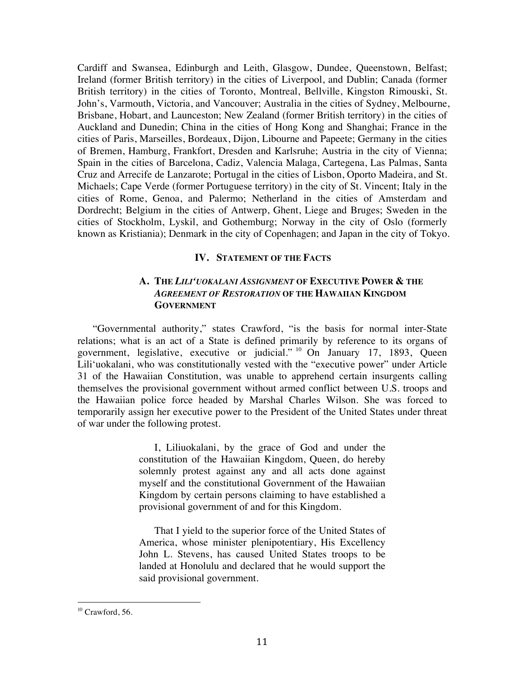Cardiff and Swansea, Edinburgh and Leith, Glasgow, Dundee, Queenstown, Belfast; Ireland (former British territory) in the cities of Liverpool, and Dublin; Canada (former British territory) in the cities of Toronto, Montreal, Bellville, Kingston Rimouski, St. John's, Varmouth, Victoria, and Vancouver; Australia in the cities of Sydney, Melbourne, Brisbane, Hobart, and Launceston; New Zealand (former British territory) in the cities of Auckland and Dunedin; China in the cities of Hong Kong and Shanghai; France in the cities of Paris, Marseilles, Bordeaux, Dijon, Libourne and Papeete; Germany in the cities of Bremen, Hamburg, Frankfort, Dresden and Karlsruhe; Austria in the city of Vienna; Spain in the cities of Barcelona, Cadiz, Valencia Malaga, Cartegena, Las Palmas, Santa Cruz and Arrecife de Lanzarote; Portugal in the cities of Lisbon, Oporto Madeira, and St. Michaels; Cape Verde (former Portuguese territory) in the city of St. Vincent; Italy in the cities of Rome, Genoa, and Palermo; Netherland in the cities of Amsterdam and Dordrecht; Belgium in the cities of Antwerp, Ghent, Liege and Bruges; Sweden in the cities of Stockholm, Lyskil, and Gothemburg; Norway in the city of Oslo (formerly known as Kristiania); Denmark in the city of Copenhagen; and Japan in the city of Tokyo.

#### **IV. STATEMENT OF THE FACTS**

#### **A. THE** *LILI'UOKALANI ASSIGNMENT* **OF EXECUTIVE POWER & THE**  *AGREEMENT OF RESTORATION* **OF THE HAWAIIAN KINGDOM GOVERNMENT**

"Governmental authority," states Crawford, "is the basis for normal inter-State relations; what is an act of a State is defined primarily by reference to its organs of government, legislative, executive or judicial." <sup>10</sup> On January 17, 1893, Queen Lili'uokalani, who was constitutionally vested with the "executive power" under Article 31 of the Hawaiian Constitution, was unable to apprehend certain insurgents calling themselves the provisional government without armed conflict between U.S. troops and the Hawaiian police force headed by Marshal Charles Wilson. She was forced to temporarily assign her executive power to the President of the United States under threat of war under the following protest.

> I, Liliuokalani, by the grace of God and under the constitution of the Hawaiian Kingdom, Queen, do hereby solemnly protest against any and all acts done against myself and the constitutional Government of the Hawaiian Kingdom by certain persons claiming to have established a provisional government of and for this Kingdom.

> That I yield to the superior force of the United States of America, whose minister plenipotentiary, His Excellency John L. Stevens, has caused United States troops to be landed at Honolulu and declared that he would support the said provisional government.

 $10$  Crawford, 56.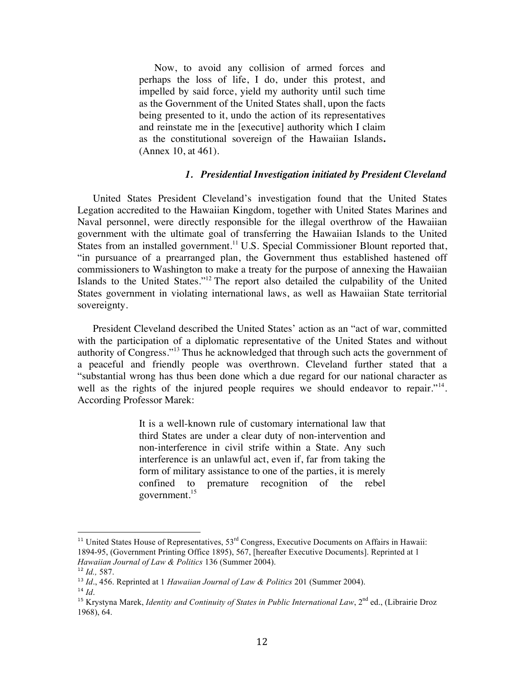Now, to avoid any collision of armed forces and perhaps the loss of life, I do, under this protest, and impelled by said force, yield my authority until such time as the Government of the United States shall, upon the facts being presented to it, undo the action of its representatives and reinstate me in the [executive] authority which I claim as the constitutional sovereign of the Hawaiian Islands**.** (Annex 10, at 461).

#### *1. Presidential Investigation initiated by President Cleveland*

United States President Cleveland's investigation found that the United States Legation accredited to the Hawaiian Kingdom, together with United States Marines and Naval personnel, were directly responsible for the illegal overthrow of the Hawaiian government with the ultimate goal of transferring the Hawaiian Islands to the United States from an installed government.<sup>11</sup> U.S. Special Commissioner Blount reported that, "in pursuance of a prearranged plan, the Government thus established hastened off commissioners to Washington to make a treaty for the purpose of annexing the Hawaiian Islands to the United States."12 The report also detailed the culpability of the United States government in violating international laws, as well as Hawaiian State territorial sovereignty.

President Cleveland described the United States' action as an "act of war, committed with the participation of a diplomatic representative of the United States and without authority of Congress."13 Thus he acknowledged that through such acts the government of a peaceful and friendly people was overthrown. Cleveland further stated that a "substantial wrong has thus been done which a due regard for our national character as well as the rights of the injured people requires we should endeavor to repair."<sup>14</sup>. According Professor Marek:

> It is a well-known rule of customary international law that third States are under a clear duty of non-intervention and non-interference in civil strife within a State. Any such interference is an unlawful act, even if, far from taking the form of military assistance to one of the parties, it is merely confined to premature recognition of the rebel government.15

 $11$  United States House of Representatives,  $53<sup>rd</sup>$  Congress, Executive Documents on Affairs in Hawaii: 1894-95, (Government Printing Office 1895), 567, [hereafter Executive Documents]. Reprinted at 1 *Hawaiian Journal of Law & Politics* 136 (Summer 2004).

<sup>12</sup> *Id.,* 587.

<sup>13</sup> *Id*., 456. Reprinted at 1 *Hawaiian Journal of Law & Politics* 201 (Summer 2004).

<sup>14</sup> *Id*.

<sup>&</sup>lt;sup>15</sup> Krystyna Marek, *Identity and Continuity of States in Public International Law*, 2<sup>nd</sup> ed., (Librairie Droz 1968), 64.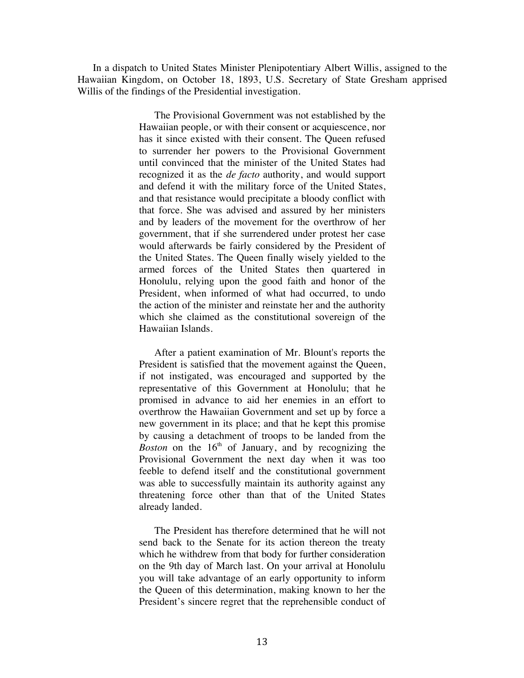In a dispatch to United States Minister Plenipotentiary Albert Willis, assigned to the Hawaiian Kingdom, on October 18, 1893, U.S. Secretary of State Gresham apprised Willis of the findings of the Presidential investigation.

> The Provisional Government was not established by the Hawaiian people, or with their consent or acquiescence, nor has it since existed with their consent. The Queen refused to surrender her powers to the Provisional Government until convinced that the minister of the United States had recognized it as the *de facto* authority, and would support and defend it with the military force of the United States, and that resistance would precipitate a bloody conflict with that force. She was advised and assured by her ministers and by leaders of the movement for the overthrow of her government, that if she surrendered under protest her case would afterwards be fairly considered by the President of the United States. The Queen finally wisely yielded to the armed forces of the United States then quartered in Honolulu, relying upon the good faith and honor of the President, when informed of what had occurred, to undo the action of the minister and reinstate her and the authority which she claimed as the constitutional sovereign of the Hawaiian Islands.

> After a patient examination of Mr. Blount's reports the President is satisfied that the movement against the Queen, if not instigated, was encouraged and supported by the representative of this Government at Honolulu; that he promised in advance to aid her enemies in an effort to overthrow the Hawaiian Government and set up by force a new government in its place; and that he kept this promise by causing a detachment of troops to be landed from the *Boston* on the 16<sup>th</sup> of January, and by recognizing the Provisional Government the next day when it was too feeble to defend itself and the constitutional government was able to successfully maintain its authority against any threatening force other than that of the United States already landed.

> The President has therefore determined that he will not send back to the Senate for its action thereon the treaty which he withdrew from that body for further consideration on the 9th day of March last. On your arrival at Honolulu you will take advantage of an early opportunity to inform the Queen of this determination, making known to her the President's sincere regret that the reprehensible conduct of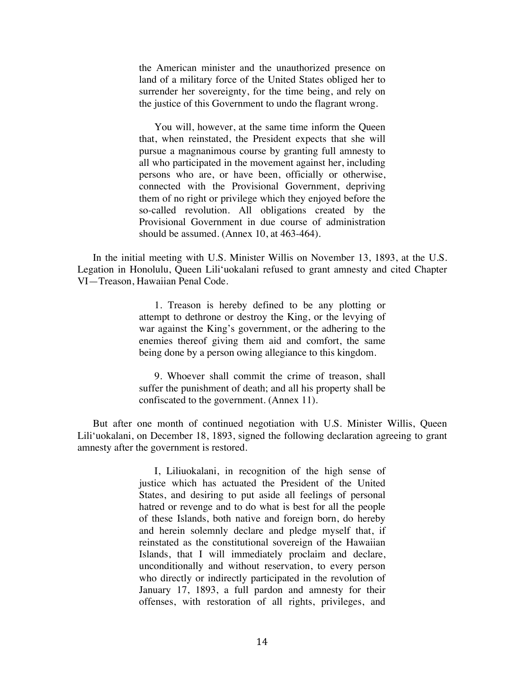the American minister and the unauthorized presence on land of a military force of the United States obliged her to surrender her sovereignty, for the time being, and rely on the justice of this Government to undo the flagrant wrong.

You will, however, at the same time inform the Queen that, when reinstated, the President expects that she will pursue a magnanimous course by granting full amnesty to all who participated in the movement against her, including persons who are, or have been, officially or otherwise, connected with the Provisional Government, depriving them of no right or privilege which they enjoyed before the so-called revolution. All obligations created by the Provisional Government in due course of administration should be assumed. (Annex 10, at 463-464).

In the initial meeting with U.S. Minister Willis on November 13, 1893, at the U.S. Legation in Honolulu, Queen Lili'uokalani refused to grant amnesty and cited Chapter VI—Treason, Hawaiian Penal Code.

> 1. Treason is hereby defined to be any plotting or attempt to dethrone or destroy the King, or the levying of war against the King's government, or the adhering to the enemies thereof giving them aid and comfort, the same being done by a person owing allegiance to this kingdom.

> 9. Whoever shall commit the crime of treason, shall suffer the punishment of death; and all his property shall be confiscated to the government. (Annex 11).

But after one month of continued negotiation with U.S. Minister Willis, Queen Lili'uokalani, on December 18, 1893, signed the following declaration agreeing to grant amnesty after the government is restored.

> I, Liliuokalani, in recognition of the high sense of justice which has actuated the President of the United States, and desiring to put aside all feelings of personal hatred or revenge and to do what is best for all the people of these Islands, both native and foreign born, do hereby and herein solemnly declare and pledge myself that, if reinstated as the constitutional sovereign of the Hawaiian Islands, that I will immediately proclaim and declare, unconditionally and without reservation, to every person who directly or indirectly participated in the revolution of January 17, 1893, a full pardon and amnesty for their offenses, with restoration of all rights, privileges, and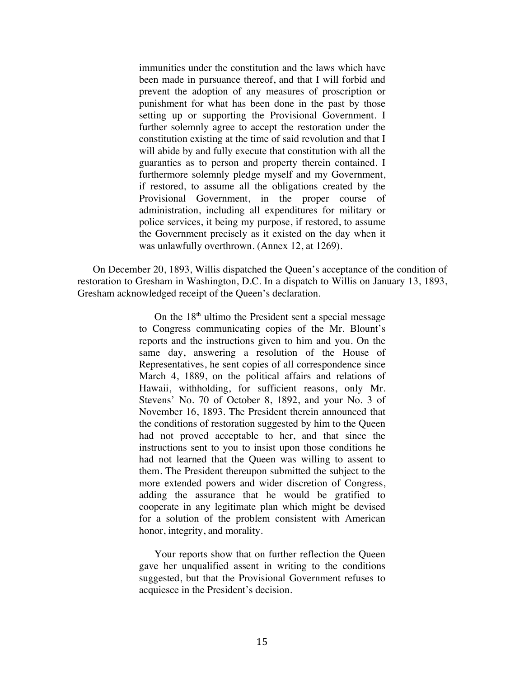immunities under the constitution and the laws which have been made in pursuance thereof, and that I will forbid and prevent the adoption of any measures of proscription or punishment for what has been done in the past by those setting up or supporting the Provisional Government. I further solemnly agree to accept the restoration under the constitution existing at the time of said revolution and that I will abide by and fully execute that constitution with all the guaranties as to person and property therein contained. I furthermore solemnly pledge myself and my Government, if restored, to assume all the obligations created by the Provisional Government, in the proper course of administration, including all expenditures for military or police services, it being my purpose, if restored, to assume the Government precisely as it existed on the day when it was unlawfully overthrown. (Annex 12, at 1269).

On December 20, 1893, Willis dispatched the Queen's acceptance of the condition of restoration to Gresham in Washington, D.C. In a dispatch to Willis on January 13, 1893, Gresham acknowledged receipt of the Queen's declaration.

> On the  $18<sup>th</sup>$  ultimo the President sent a special message to Congress communicating copies of the Mr. Blount's reports and the instructions given to him and you. On the same day, answering a resolution of the House of Representatives, he sent copies of all correspondence since March 4, 1889, on the political affairs and relations of Hawaii, withholding, for sufficient reasons, only Mr. Stevens' No. 70 of October 8, 1892, and your No. 3 of November 16, 1893. The President therein announced that the conditions of restoration suggested by him to the Queen had not proved acceptable to her, and that since the instructions sent to you to insist upon those conditions he had not learned that the Queen was willing to assent to them. The President thereupon submitted the subject to the more extended powers and wider discretion of Congress, adding the assurance that he would be gratified to cooperate in any legitimate plan which might be devised for a solution of the problem consistent with American honor, integrity, and morality.

Your reports show that on further reflection the Queen gave her unqualified assent in writing to the conditions suggested, but that the Provisional Government refuses to acquiesce in the President's decision.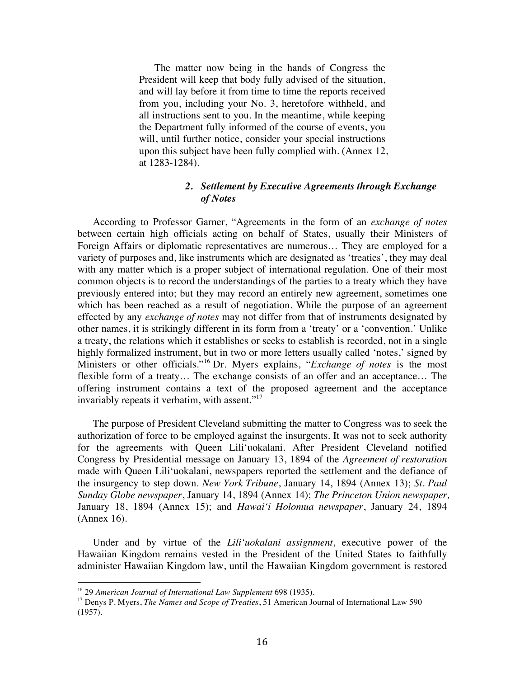The matter now being in the hands of Congress the President will keep that body fully advised of the situation, and will lay before it from time to time the reports received from you, including your No. 3, heretofore withheld, and all instructions sent to you. In the meantime, while keeping the Department fully informed of the course of events, you will, until further notice, consider your special instructions upon this subject have been fully complied with. (Annex 12, at 1283-1284).

#### *2. Settlement by Executive Agreements through Exchange of Notes*

According to Professor Garner, "Agreements in the form of an *exchange of notes* between certain high officials acting on behalf of States, usually their Ministers of Foreign Affairs or diplomatic representatives are numerous… They are employed for a variety of purposes and, like instruments which are designated as 'treaties', they may deal with any matter which is a proper subject of international regulation. One of their most common objects is to record the understandings of the parties to a treaty which they have previously entered into; but they may record an entirely new agreement, sometimes one which has been reached as a result of negotiation. While the purpose of an agreement effected by any *exchange of notes* may not differ from that of instruments designated by other names, it is strikingly different in its form from a 'treaty' or a 'convention.' Unlike a treaty, the relations which it establishes or seeks to establish is recorded, not in a single highly formalized instrument, but in two or more letters usually called 'notes,' signed by Ministers or other officials."<sup>16</sup> Dr. Myers explains, "*Exchange of notes* is the most flexible form of a treaty… The exchange consists of an offer and an acceptance… The offering instrument contains a text of the proposed agreement and the acceptance invariably repeats it verbatim, with assent."<sup>17</sup>

The purpose of President Cleveland submitting the matter to Congress was to seek the authorization of force to be employed against the insurgents. It was not to seek authority for the agreements with Queen Lili'uokalani. After President Cleveland notified Congress by Presidential message on January 13, 1894 of the *Agreement of restoration* made with Queen Lili'uokalani, newspapers reported the settlement and the defiance of the insurgency to step down. *New York Tribune*, January 14, 1894 (Annex 13); *St. Paul Sunday Globe newspaper*, January 14, 1894 (Annex 14); *The Princeton Union newspaper,* January 18, 1894 (Annex 15); and *Hawai'i Holomua newspaper*, January 24, 1894 (Annex 16).

Under and by virtue of the *Lili'uokalani assignment*, executive power of the Hawaiian Kingdom remains vested in the President of the United States to faithfully administer Hawaiian Kingdom law, until the Hawaiian Kingdom government is restored

<sup>16</sup> 29 *American Journal of International Law Supplement* 698 (1935).

<sup>17</sup> Denys P. Myers, *The Names and Scope of Treaties*, 51 American Journal of International Law 590 (1957).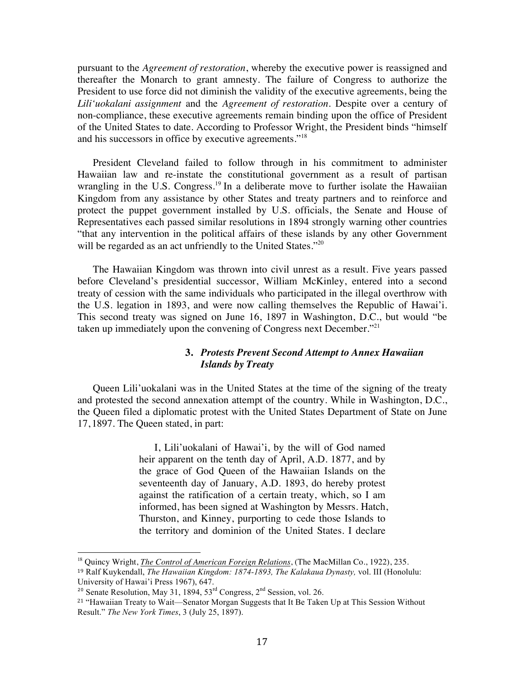pursuant to the *Agreement of restoration*, whereby the executive power is reassigned and thereafter the Monarch to grant amnesty. The failure of Congress to authorize the President to use force did not diminish the validity of the executive agreements, being the *Lili'uokalani assignment* and the *Agreement of restoration*. Despite over a century of non-compliance, these executive agreements remain binding upon the office of President of the United States to date. According to Professor Wright, the President binds "himself and his successors in office by executive agreements."<sup>18</sup>

President Cleveland failed to follow through in his commitment to administer Hawaiian law and re-instate the constitutional government as a result of partisan wrangling in the U.S. Congress.<sup>19</sup> In a deliberate move to further isolate the Hawaiian Kingdom from any assistance by other States and treaty partners and to reinforce and protect the puppet government installed by U.S. officials, the Senate and House of Representatives each passed similar resolutions in 1894 strongly warning other countries "that any intervention in the political affairs of these islands by any other Government will be regarded as an act unfriendly to the United States."<sup>20</sup>

The Hawaiian Kingdom was thrown into civil unrest as a result. Five years passed before Cleveland's presidential successor, William McKinley, entered into a second treaty of cession with the same individuals who participated in the illegal overthrow with the U.S. legation in 1893, and were now calling themselves the Republic of Hawai'i. This second treaty was signed on June 16, 1897 in Washington, D.C., but would "be taken up immediately upon the convening of Congress next December."21

#### **3.** *Protests Prevent Second Attempt to Annex Hawaiian Islands by Treaty*

Queen Lili'uokalani was in the United States at the time of the signing of the treaty and protested the second annexation attempt of the country. While in Washington, D.C., the Queen filed a diplomatic protest with the United States Department of State on June 17, 1897. The Queen stated, in part:

> I, Lili'uokalani of Hawai'i, by the will of God named heir apparent on the tenth day of April, A.D. 1877, and by the grace of God Queen of the Hawaiian Islands on the seventeenth day of January, A.D. 1893, do hereby protest against the ratification of a certain treaty, which, so I am informed, has been signed at Washington by Messrs. Hatch, Thurston, and Kinney, purporting to cede those Islands to the territory and dominion of the United States. I declare

<sup>&</sup>lt;sup>18</sup> Quincy Wright, *The Control of American Foreign Relations*, (The MacMillan Co., 1922), 235.

<sup>19</sup> Ralf Kuykendall, *The Hawaiian Kingdom: 1874-1893, The Kalakaua Dynasty,* vol. III (Honolulu: University of Hawai'i Press 1967), 647.

<sup>&</sup>lt;sup>20</sup> Senate Resolution, May 31, 1894,  $53<sup>rd</sup>$  Congress,  $2<sup>nd</sup>$  Session, vol. 26.

<sup>21</sup> "Hawaiian Treaty to Wait—Senator Morgan Suggests that It Be Taken Up at This Session Without Result." *The New York Times*, 3 (July 25, 1897).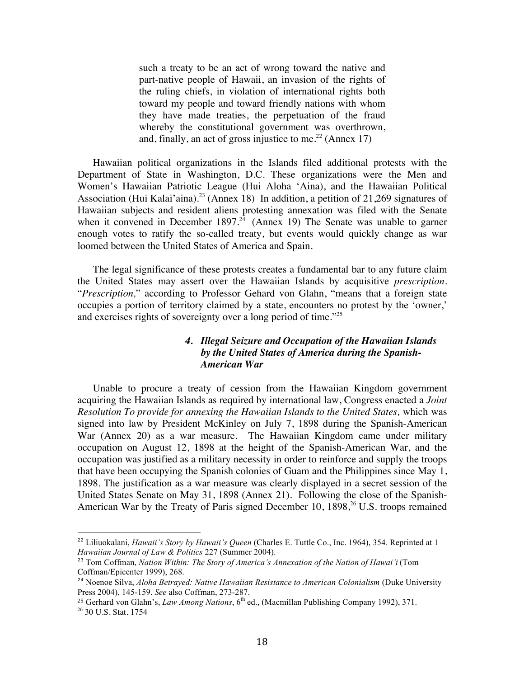such a treaty to be an act of wrong toward the native and part-native people of Hawaii, an invasion of the rights of the ruling chiefs, in violation of international rights both toward my people and toward friendly nations with whom they have made treaties, the perpetuation of the fraud whereby the constitutional government was overthrown, and, finally, an act of gross injustice to me.<sup>22</sup> (Annex 17)

Hawaiian political organizations in the Islands filed additional protests with the Department of State in Washington, D.C. These organizations were the Men and Women's Hawaiian Patriotic League (Hui Aloha 'Aina), and the Hawaiian Political Association (Hui Kalai'aina).<sup>23</sup> (Annex 18) In addition, a petition of 21,269 signatures of Hawaiian subjects and resident aliens protesting annexation was filed with the Senate when it convened in December 1897.<sup>24</sup> (Annex 19) The Senate was unable to garner enough votes to ratify the so-called treaty, but events would quickly change as war loomed between the United States of America and Spain.

The legal significance of these protests creates a fundamental bar to any future claim the United States may assert over the Hawaiian Islands by acquisitive *prescription*. "*Prescription,*" according to Professor Gehard von Glahn, "means that a foreign state occupies a portion of territory claimed by a state, encounters no protest by the 'owner,' and exercises rights of sovereignty over a long period of time."25

#### *4. Illegal Seizure and Occupation of the Hawaiian Islands by the United States of America during the Spanish-American War*

Unable to procure a treaty of cession from the Hawaiian Kingdom government acquiring the Hawaiian Islands as required by international law, Congress enacted a *Joint Resolution To provide for annexing the Hawaiian Islands to the United States,* which was signed into law by President McKinley on July 7, 1898 during the Spanish-American War (Annex 20) as a war measure. The Hawaiian Kingdom came under military occupation on August 12, 1898 at the height of the Spanish-American War, and the occupation was justified as a military necessity in order to reinforce and supply the troops that have been occupying the Spanish colonies of Guam and the Philippines since May 1, 1898. The justification as a war measure was clearly displayed in a secret session of the United States Senate on May 31, 1898 (Annex 21). Following the close of the Spanish-American War by the Treaty of Paris signed December 10, 1898, <sup>26</sup> U.S. troops remained

<sup>22</sup> Liliuokalani, *Hawaii's Story by Hawaii's Queen* (Charles E. Tuttle Co., Inc. 1964), 354. Reprinted at 1 *Hawaiian Journal of Law & Politics* 227 (Summer 2004).

<sup>23</sup> Tom Coffman, *Nation Within: The Story of America's Annexation of the Nation of Hawai'i* (Tom Coffman/Epicenter 1999), 268.

<sup>24</sup> Noenoe Silva, *Aloha Betrayed: Native Hawaiian Resistance to American Colonialism* (Duke University Press 2004), 145-159. *See* also Coffman, 273-287.

<sup>&</sup>lt;sup>25</sup> Gerhard von Glahn's, *Law Among Nations*, 6<sup>th</sup> ed., (Macmillan Publishing Company 1992), 371.

<sup>26</sup> 30 U.S. Stat. 1754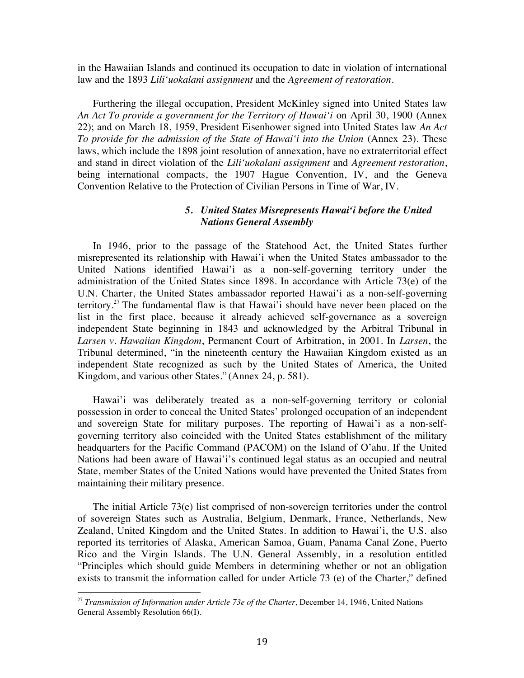in the Hawaiian Islands and continued its occupation to date in violation of international law and the 1893 *Lili'uokalani assignment* and the *Agreement of restoration*.

Furthering the illegal occupation, President McKinley signed into United States law *An Act To provide a government for the Territory of Hawai'i* on April 30, 1900 (Annex 22); and on March 18, 1959, President Eisenhower signed into United States law *An Act To provide for the admission of the State of Hawai'i into the Union* (Annex 23). These laws, which include the 1898 joint resolution of annexation, have no extraterritorial effect and stand in direct violation of the *Lili'uokalani assignment* and *Agreement restoration*, being international compacts, the 1907 Hague Convention, IV, and the Geneva Convention Relative to the Protection of Civilian Persons in Time of War, IV.

#### *5. United States Misrepresents Hawai'i before the United Nations General Assembly*

In 1946, prior to the passage of the Statehood Act, the United States further misrepresented its relationship with Hawai'i when the United States ambassador to the United Nations identified Hawai'i as a non-self-governing territory under the administration of the United States since 1898. In accordance with Article 73(e) of the U.N. Charter, the United States ambassador reported Hawai'i as a non-self-governing territory.<sup>27</sup> The fundamental flaw is that Hawai'i should have never been placed on the list in the first place, because it already achieved self-governance as a sovereign independent State beginning in 1843 and acknowledged by the Arbitral Tribunal in *Larsen v. Hawaiian Kingdom*, Permanent Court of Arbitration, in 2001. In *Larsen*, the Tribunal determined, "in the nineteenth century the Hawaiian Kingdom existed as an independent State recognized as such by the United States of America, the United Kingdom, and various other States." (Annex 24, p. 581).

Hawai'i was deliberately treated as a non-self-governing territory or colonial possession in order to conceal the United States' prolonged occupation of an independent and sovereign State for military purposes. The reporting of Hawai'i as a non-selfgoverning territory also coincided with the United States establishment of the military headquarters for the Pacific Command (PACOM) on the Island of O'ahu. If the United Nations had been aware of Hawai'i's continued legal status as an occupied and neutral State, member States of the United Nations would have prevented the United States from maintaining their military presence.

The initial Article  $73(e)$  list comprised of non-sovereign territories under the control of sovereign States such as Australia, Belgium, Denmark, France, Netherlands, New Zealand, United Kingdom and the United States. In addition to Hawai'i, the U.S. also reported its territories of Alaska, American Samoa, Guam, Panama Canal Zone, Puerto Rico and the Virgin Islands. The U.N. General Assembly, in a resolution entitled "Principles which should guide Members in determining whether or not an obligation exists to transmit the information called for under Article 73 (e) of the Charter," defined

<sup>27</sup> *Transmission of Information under Article 73e of the Charter*, December 14, 1946, United Nations General Assembly Resolution 66(I).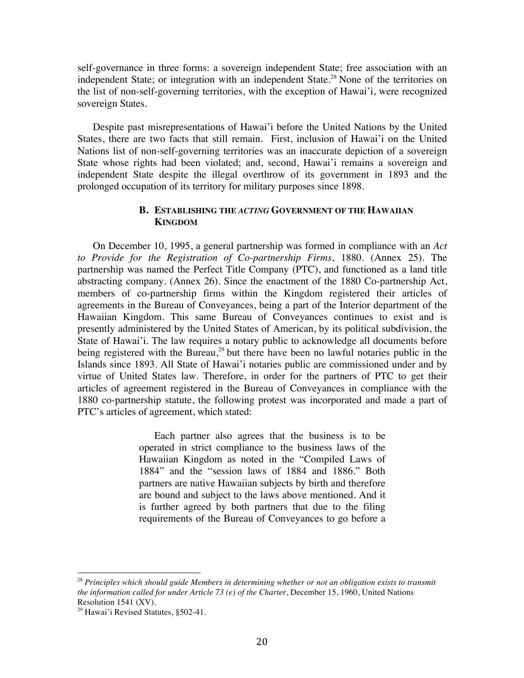self-governance in three forms: a sovereign independent State; free association with an independent State; or integration with an independent State.<sup>28</sup> None of the territories on the list of non-self-governing territories, with the exception of Hawai'i, were recognized sovereign States.

Despite past misrepresentations of Hawai'i before the United Nations by the United States, there are two facts that still remain. First, inclusion of Hawai'i on the United Nations list of non-self-governing territories was an inaccurate depiction of a sovereign State whose rights had been violated; and, second, Hawai'i remains a sovereign and independent State despite the illegal overthrow of its government in 1893 and the prolonged occupation of its territory for military purposes since 1898.

#### **B. ESTABLISHING THE** *ACTING* **GOVERNMENT OF THE HAWAIIAN KINGDOM**

On December 10, 1995, a general partnership was formed in compliance with an *Act to Provide for the Registration of Co-partnership Firms*, 1880. (Annex 25). The partnership was named the Perfect Title Company (PTC), and functioned as a land title abstracting company. (Annex 26). Since the enactment of the 1880 Co-partnership Act, members of co-partnership firms within the Kingdom registered their articles of agreements in the Bureau of Conveyances, being a part of the Interior department of the Hawaiian Kingdom. This same Bureau of Conveyances continues to exist and is presently administered by the United States of American, by its political subdivision, the State of Hawai'i. The law requires a notary public to acknowledge all documents before being registered with the Bureau, $^{29}$  but there have been no lawful notaries public in the Islands since 1893. All State of Hawai'i notaries public are commissioned under and by virtue of United States law. Therefore, in order for the partners of PTC to get their articles of agreement registered in the Bureau of Conveyances in compliance with the 1880 co-partnership statute, the following protest was incorporated and made a part of PTC's articles of agreement, which stated:

> Each partner also agrees that the business is to be operated in strict compliance to the business laws of the Hawaiian Kingdom as noted in the "Compiled Laws of 1884" and the "session laws of 1884 and 1886." Both partners are native Hawaiian subjects by birth and therefore are bound and subject to the laws above mentioned. And it is further agreed by both partners that due to the filing requirements of the Bureau of Conveyances to go before a

<sup>28</sup> *Principles which should guide Members in determining whether or not an obligation exists to transmit the information called for under Article 73 (e) of the Charter*, December 15, 1960, United Nations Resolution 1541 (XV).

<sup>&</sup>lt;sup>29</sup> Hawai'i Revised Statutes, §502-41.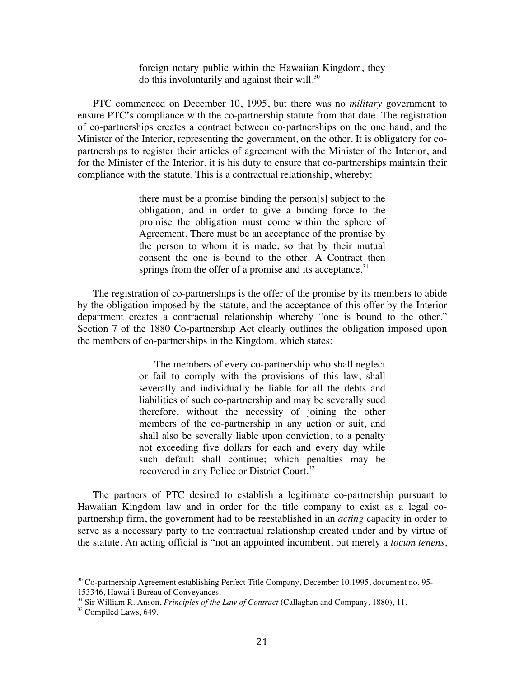foreign notary public within the Hawaiian Kingdom, they do this involuntarily and against their will. $30$ 

PTC commenced on December 10, 1995, but there was no *military* government to ensure PTC's compliance with the co-partnership statute from that date. The registration of co-partnerships creates a contract between co-partnerships on the one hand, and the Minister of the Interior, representing the government, on the other. It is obligatory for copartnerships to register their articles of agreement with the Minister of the Interior, and for the Minister of the Interior, it is his duty to ensure that co-partnerships maintain their compliance with the statute. This is a contractual relationship, whereby:

> there must be a promise binding the person[s] subject to the obligation; and in order to give a binding force to the promise the obligation must come within the sphere of Agreement. There must be an acceptance of the promise by the person to whom it is made, so that by their mutual consent the one is bound to the other. A Contract then springs from the offer of a promise and its acceptance.<sup>31</sup>

The registration of co-partnerships is the offer of the promise by its members to abide by the obligation imposed by the statute, and the acceptance of this offer by the Interior department creates a contractual relationship whereby "one is bound to the other." Section 7 of the 1880 Co-partnership Act clearly outlines the obligation imposed upon the members of co-partnerships in the Kingdom, which states:

> The members of every co-partnership who shall neglect or fail to comply with the provisions of this law, shall severally and individually be liable for all the debts and liabilities of such co-partnership and may be severally sued therefore, without the necessity of joining the other members of the co-partnership in any action or suit, and shall also be severally liable upon conviction, to a penalty not exceeding five dollars for each and every day while such default shall continue; which penalties may be recovered in any Police or District Court.32

The partners of PTC desired to establish a legitimate co-partnership pursuant to Hawaiian Kingdom law and in order for the title company to exist as a legal copartnership firm, the government had to be reestablished in an *acting* capacity in order to serve as a necessary party to the contractual relationship created under and by virtue of the statute. An acting official is "not an appointed incumbent, but merely a *locum tenens*,

 $30$  Co-partnership Agreement establishing Perfect Title Company, December 10,1995, document no. 95-153346, Hawai'i Bureau of Conveyances.

<sup>31</sup> Sir William R. Anson, *Principles of the Law of Contract* (Callaghan and Company, 1880), 11.

<sup>&</sup>lt;sup>32</sup> Compiled Laws, 649.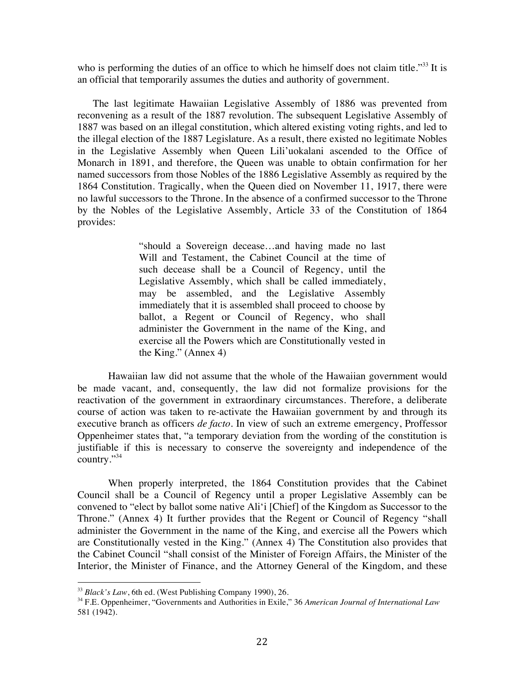who is performing the duties of an office to which he himself does not claim title."<sup>33</sup> It is an official that temporarily assumes the duties and authority of government.

The last legitimate Hawaiian Legislative Assembly of 1886 was prevented from reconvening as a result of the 1887 revolution. The subsequent Legislative Assembly of 1887 was based on an illegal constitution, which altered existing voting rights, and led to the illegal election of the 1887 Legislature. As a result, there existed no legitimate Nobles in the Legislative Assembly when Queen Lili'uokalani ascended to the Office of Monarch in 1891, and therefore, the Queen was unable to obtain confirmation for her named successors from those Nobles of the 1886 Legislative Assembly as required by the 1864 Constitution. Tragically, when the Queen died on November 11, 1917, there were no lawful successors to the Throne. In the absence of a confirmed successor to the Throne by the Nobles of the Legislative Assembly, Article 33 of the Constitution of 1864 provides:

> "should a Sovereign decease…and having made no last Will and Testament, the Cabinet Council at the time of such decease shall be a Council of Regency, until the Legislative Assembly, which shall be called immediately, may be assembled, and the Legislative Assembly immediately that it is assembled shall proceed to choose by ballot, a Regent or Council of Regency, who shall administer the Government in the name of the King, and exercise all the Powers which are Constitutionally vested in the King." (Annex 4)

Hawaiian law did not assume that the whole of the Hawaiian government would be made vacant, and, consequently, the law did not formalize provisions for the reactivation of the government in extraordinary circumstances. Therefore, a deliberate course of action was taken to re-activate the Hawaiian government by and through its executive branch as officers *de facto*. In view of such an extreme emergency, Proffessor Oppenheimer states that, "a temporary deviation from the wording of the constitution is justifiable if this is necessary to conserve the sovereignty and independence of the country."34

When properly interpreted, the 1864 Constitution provides that the Cabinet Council shall be a Council of Regency until a proper Legislative Assembly can be convened to "elect by ballot some native Ali'i [Chief] of the Kingdom as Successor to the Throne." (Annex 4) It further provides that the Regent or Council of Regency "shall administer the Government in the name of the King, and exercise all the Powers which are Constitutionally vested in the King." (Annex 4) The Constitution also provides that the Cabinet Council "shall consist of the Minister of Foreign Affairs, the Minister of the Interior, the Minister of Finance, and the Attorney General of the Kingdom, and these

<sup>&</sup>lt;sup>33</sup> Black's Law, 6th ed. (West Publishing Company 1990), 26.

<sup>34</sup> F.E. Oppenheimer, "Governments and Authorities in Exile," 36 *American Journal of International Law* 581 (1942).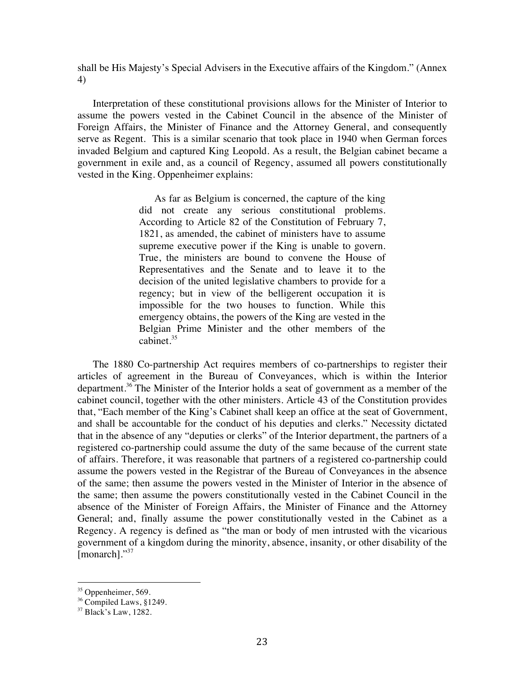shall be His Majesty's Special Advisers in the Executive affairs of the Kingdom." (Annex 4)

Interpretation of these constitutional provisions allows for the Minister of Interior to assume the powers vested in the Cabinet Council in the absence of the Minister of Foreign Affairs, the Minister of Finance and the Attorney General, and consequently serve as Regent. This is a similar scenario that took place in 1940 when German forces invaded Belgium and captured King Leopold. As a result, the Belgian cabinet became a government in exile and, as a council of Regency, assumed all powers constitutionally vested in the King. Oppenheimer explains:

> As far as Belgium is concerned, the capture of the king did not create any serious constitutional problems. According to Article 82 of the Constitution of February 7, 1821, as amended, the cabinet of ministers have to assume supreme executive power if the King is unable to govern. True, the ministers are bound to convene the House of Representatives and the Senate and to leave it to the decision of the united legislative chambers to provide for a regency; but in view of the belligerent occupation it is impossible for the two houses to function. While this emergency obtains, the powers of the King are vested in the Belgian Prime Minister and the other members of the cabinet.<sup>35</sup>

The 1880 Co-partnership Act requires members of co-partnerships to register their articles of agreement in the Bureau of Conveyances, which is within the Interior department.36 The Minister of the Interior holds a seat of government as a member of the cabinet council, together with the other ministers. Article 43 of the Constitution provides that, "Each member of the King's Cabinet shall keep an office at the seat of Government, and shall be accountable for the conduct of his deputies and clerks." Necessity dictated that in the absence of any "deputies or clerks" of the Interior department, the partners of a registered co-partnership could assume the duty of the same because of the current state of affairs. Therefore, it was reasonable that partners of a registered co-partnership could assume the powers vested in the Registrar of the Bureau of Conveyances in the absence of the same; then assume the powers vested in the Minister of Interior in the absence of the same; then assume the powers constitutionally vested in the Cabinet Council in the absence of the Minister of Foreign Affairs, the Minister of Finance and the Attorney General; and, finally assume the power constitutionally vested in the Cabinet as a Regency. A regency is defined as "the man or body of men intrusted with the vicarious government of a kingdom during the minority, absence, insanity, or other disability of the [monarch]."<sup>37</sup>

<sup>&</sup>lt;sup>35</sup> Oppenheimer, 569.

<sup>36</sup> Compiled Laws, §1249.

<sup>37</sup> Black's Law, 1282.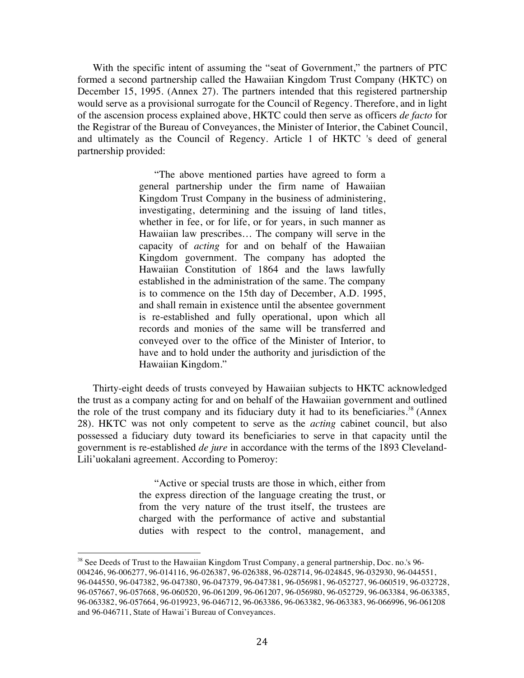With the specific intent of assuming the "seat of Government," the partners of PTC formed a second partnership called the Hawaiian Kingdom Trust Company (HKTC) on December 15, 1995. (Annex 27). The partners intended that this registered partnership would serve as a provisional surrogate for the Council of Regency. Therefore, and in light of the ascension process explained above, HKTC could then serve as officers *de facto* for the Registrar of the Bureau of Conveyances, the Minister of Interior, the Cabinet Council, and ultimately as the Council of Regency. Article 1 of HKTC 's deed of general partnership provided:

> "The above mentioned parties have agreed to form a general partnership under the firm name of Hawaiian Kingdom Trust Company in the business of administering, investigating, determining and the issuing of land titles, whether in fee, or for life, or for years, in such manner as Hawaiian law prescribes… The company will serve in the capacity of *acting* for and on behalf of the Hawaiian Kingdom government. The company has adopted the Hawaiian Constitution of 1864 and the laws lawfully established in the administration of the same. The company is to commence on the 15th day of December, A.D. 1995, and shall remain in existence until the absentee government is re-established and fully operational, upon which all records and monies of the same will be transferred and conveyed over to the office of the Minister of Interior, to have and to hold under the authority and jurisdiction of the Hawaiian Kingdom."

Thirty-eight deeds of trusts conveyed by Hawaiian subjects to HKTC acknowledged the trust as a company acting for and on behalf of the Hawaiian government and outlined the role of the trust company and its fiduciary duty it had to its beneficiaries.<sup>38</sup> (Annex 28). HKTC was not only competent to serve as the *acting* cabinet council, but also possessed a fiduciary duty toward its beneficiaries to serve in that capacity until the government is re-established *de jure* in accordance with the terms of the 1893 Cleveland-Lili'uokalani agreement. According to Pomeroy:

> "Active or special trusts are those in which, either from the express direction of the language creating the trust, or from the very nature of the trust itself, the trustees are charged with the performance of active and substantial duties with respect to the control, management, and

<sup>&</sup>lt;sup>38</sup> See Deeds of Trust to the Hawaiian Kingdom Trust Company, a general partnership, Doc. no.'s 96-004246, 96-006277, 96-014116, 96-026387, 96-026388, 96-028714, 96-024845, 96-032930, 96-044551, 96-044550, 96-047382, 96-047380, 96-047379, 96-047381, 96-056981, 96-052727, 96-060519, 96-032728, 96-057667, 96-057668, 96-060520, 96-061209, 96-061207, 96-056980, 96-052729, 96-063384, 96-063385, 96-063382, 96-057664, 96-019923, 96-046712, 96-063386, 96-063382, 96-063383, 96-066996, 96-061208 and 96-046711, State of Hawai'i Bureau of Conveyances.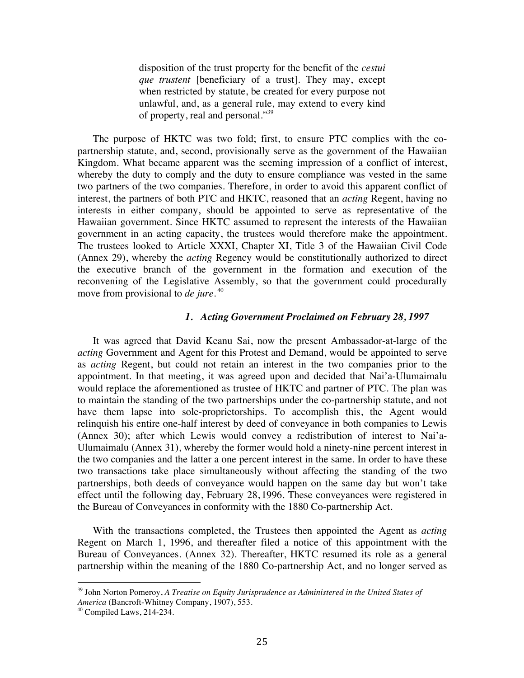disposition of the trust property for the benefit of the *cestui que trustent* [beneficiary of a trust]. They may, except when restricted by statute, be created for every purpose not unlawful, and, as a general rule, may extend to every kind of property, real and personal."<sup>39</sup>

The purpose of HKTC was two fold; first, to ensure PTC complies with the copartnership statute, and, second, provisionally serve as the government of the Hawaiian Kingdom. What became apparent was the seeming impression of a conflict of interest, whereby the duty to comply and the duty to ensure compliance was vested in the same two partners of the two companies. Therefore, in order to avoid this apparent conflict of interest, the partners of both PTC and HKTC, reasoned that an *acting* Regent, having no interests in either company, should be appointed to serve as representative of the Hawaiian government. Since HKTC assumed to represent the interests of the Hawaiian government in an acting capacity, the trustees would therefore make the appointment. The trustees looked to Article XXXI, Chapter XI, Title 3 of the Hawaiian Civil Code (Annex 29), whereby the *acting* Regency would be constitutionally authorized to direct the executive branch of the government in the formation and execution of the reconvening of the Legislative Assembly, so that the government could procedurally move from provisional to *de jure*. 40

#### *1. Acting Government Proclaimed on February 28, 1997*

It was agreed that David Keanu Sai, now the present Ambassador-at-large of the *acting* Government and Agent for this Protest and Demand, would be appointed to serve as *acting* Regent, but could not retain an interest in the two companies prior to the appointment. In that meeting, it was agreed upon and decided that Nai'a-Ulumaimalu would replace the aforementioned as trustee of HKTC and partner of PTC. The plan was to maintain the standing of the two partnerships under the co-partnership statute, and not have them lapse into sole-proprietorships. To accomplish this, the Agent would relinquish his entire one-half interest by deed of conveyance in both companies to Lewis (Annex 30); after which Lewis would convey a redistribution of interest to Nai'a-Ulumaimalu (Annex 31), whereby the former would hold a ninety-nine percent interest in the two companies and the latter a one percent interest in the same. In order to have these two transactions take place simultaneously without affecting the standing of the two partnerships, both deeds of conveyance would happen on the same day but won't take effect until the following day, February 28, 1996. These conveyances were registered in the Bureau of Conveyances in conformity with the 1880 Co-partnership Act.

With the transactions completed, the Trustees then appointed the Agent as *acting* Regent on March 1, 1996, and thereafter filed a notice of this appointment with the Bureau of Conveyances. (Annex 32). Thereafter, HKTC resumed its role as a general partnership within the meaning of the 1880 Co-partnership Act, and no longer served as

<sup>39</sup> John Norton Pomeroy, *A Treatise on Equity Jurisprudence as Administered in the United States of America* (Bancroft-Whitney Company, 1907), 553.

 $40$  Compiled Laws, 214-234.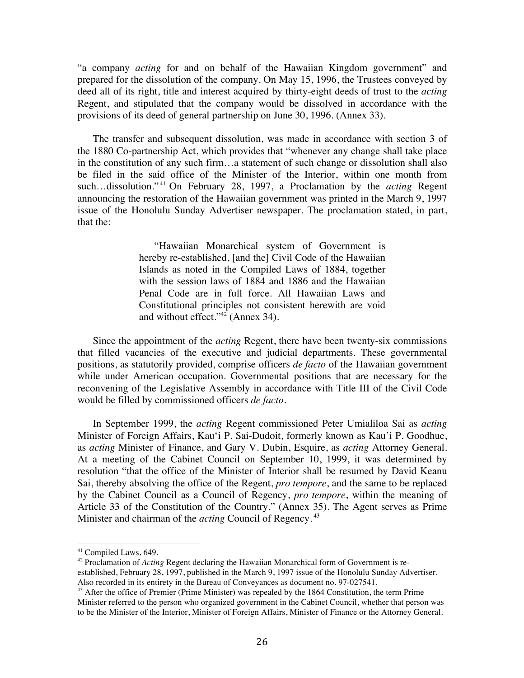"a company *acting* for and on behalf of the Hawaiian Kingdom government" and prepared for the dissolution of the company. On May 15, 1996, the Trustees conveyed by deed all of its right, title and interest acquired by thirty-eight deeds of trust to the *acting* Regent, and stipulated that the company would be dissolved in accordance with the provisions of its deed of general partnership on June 30, 1996. (Annex 33).

The transfer and subsequent dissolution, was made in accordance with section 3 of the 1880 Co-partnership Act, which provides that "whenever any change shall take place in the constitution of any such firm…a statement of such change or dissolution shall also be filed in the said office of the Minister of the Interior, within one month from such…dissolution." <sup>41</sup> On February 28, 1997, a Proclamation by the *acting* Regent announcing the restoration of the Hawaiian government was printed in the March 9, 1997 issue of the Honolulu Sunday Advertiser newspaper. The proclamation stated, in part, that the:

> "Hawaiian Monarchical system of Government is hereby re-established, [and the] Civil Code of the Hawaiian Islands as noted in the Compiled Laws of 1884, together with the session laws of 1884 and 1886 and the Hawaiian Penal Code are in full force. All Hawaiian Laws and Constitutional principles not consistent herewith are void and without effect."<sup>42</sup> (Annex 34).

Since the appointment of the *acting* Regent, there have been twenty-six commissions that filled vacancies of the executive and judicial departments. These governmental positions, as statutorily provided, comprise officers *de facto* of the Hawaiian government while under American occupation. Governmental positions that are necessary for the reconvening of the Legislative Assembly in accordance with Title III of the Civil Code would be filled by commissioned officers *de facto*.

In September 1999, the *acting* Regent commissioned Peter Umialiloa Sai as *acting* Minister of Foreign Affairs, Kau'i P. Sai-Dudoit, formerly known as Kau'i P. Goodhue, as *acting* Minister of Finance, and Gary V. Dubin, Esquire, as *acting* Attorney General. At a meeting of the Cabinet Council on September 10, 1999, it was determined by resolution "that the office of the Minister of Interior shall be resumed by David Keanu Sai, thereby absolving the office of the Regent, *pro tempore*, and the same to be replaced by the Cabinet Council as a Council of Regency, *pro tempore*, within the meaning of Article 33 of the Constitution of the Country." (Annex 35). The Agent serves as Prime Minister and chairman of the *acting* Council of Regency.<sup>43</sup>

 

<sup>42</sup> Proclamation of *Acting* Regent declaring the Hawaiian Monarchical form of Government is reestablished, February 28, 1997, published in the March 9, 1997 issue of the Honolulu Sunday Advertiser.<br>Also recorded in its entirety in the Bureau of Conveyances as document no. 97-027541.

<sup>41</sup> Compiled Laws, 649.

 $43$  After the office of Premier (Prime Minister) was repealed by the 1864 Constitution, the term Prime Minister referred to the person who organized government in the Cabinet Council, whether that person was to be the Minister of the Interior, Minister of Foreign Affairs, Minister of Finance or the Attorney General.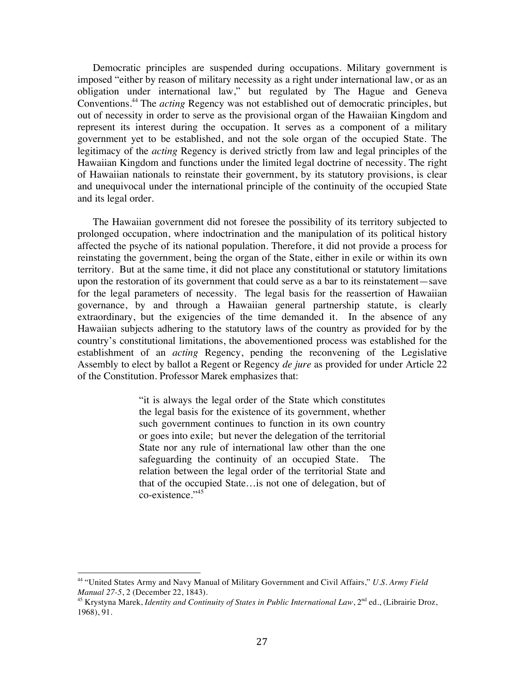Democratic principles are suspended during occupations. Military government is imposed "either by reason of military necessity as a right under international law, or as an obligation under international law," but regulated by The Hague and Geneva Conventions.44 The *acting* Regency was not established out of democratic principles, but out of necessity in order to serve as the provisional organ of the Hawaiian Kingdom and represent its interest during the occupation. It serves as a component of a military government yet to be established, and not the sole organ of the occupied State. The legitimacy of the *acting* Regency is derived strictly from law and legal principles of the Hawaiian Kingdom and functions under the limited legal doctrine of necessity. The right of Hawaiian nationals to reinstate their government, by its statutory provisions, is clear and unequivocal under the international principle of the continuity of the occupied State and its legal order.

The Hawaiian government did not foresee the possibility of its territory subjected to prolonged occupation, where indoctrination and the manipulation of its political history affected the psyche of its national population. Therefore, it did not provide a process for reinstating the government, being the organ of the State, either in exile or within its own territory. But at the same time, it did not place any constitutional or statutory limitations upon the restoration of its government that could serve as a bar to its reinstatement—save for the legal parameters of necessity. The legal basis for the reassertion of Hawaiian governance, by and through a Hawaiian general partnership statute, is clearly extraordinary, but the exigencies of the time demanded it. In the absence of any Hawaiian subjects adhering to the statutory laws of the country as provided for by the country's constitutional limitations, the abovementioned process was established for the establishment of an *acting* Regency, pending the reconvening of the Legislative Assembly to elect by ballot a Regent or Regency *de jure* as provided for under Article 22 of the Constitution. Professor Marek emphasizes that:

> "it is always the legal order of the State which constitutes the legal basis for the existence of its government, whether such government continues to function in its own country or goes into exile; but never the delegation of the territorial State nor any rule of international law other than the one safeguarding the continuity of an occupied State. The relation between the legal order of the territorial State and that of the occupied State…is not one of delegation, but of co-existence."<sup>45</sup>

<sup>44</sup> "United States Army and Navy Manual of Military Government and Civil Affairs," *U.S. Army Field Manual 27-5*, 2 (December 22, 1843).

<sup>&</sup>lt;sup>45</sup> Krystyna Marek, *Identity and Continuity of States in Public International Law*, 2<sup>nd</sup> ed., (Librairie Droz, 1968), 91.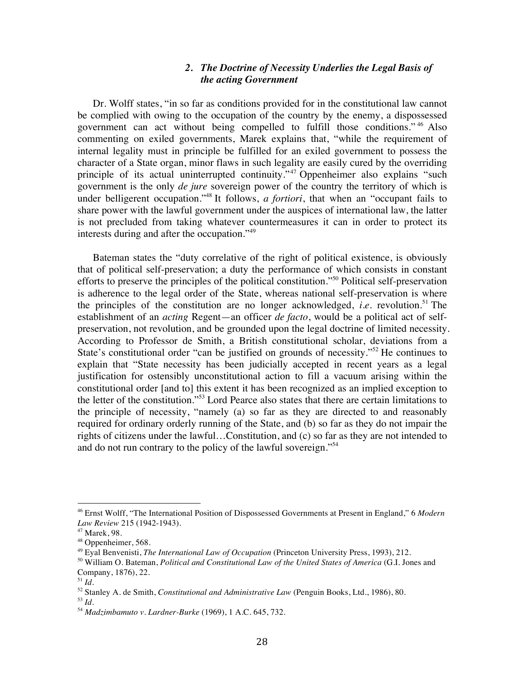#### *2. The Doctrine of Necessity Underlies the Legal Basis of the acting Government*

Dr. Wolff states, "in so far as conditions provided for in the constitutional law cannot be complied with owing to the occupation of the country by the enemy, a dispossessed government can act without being compelled to fulfill those conditions." <sup>46</sup> Also commenting on exiled governments, Marek explains that, "while the requirement of internal legality must in principle be fulfilled for an exiled government to possess the character of a State organ, minor flaws in such legality are easily cured by the overriding principle of its actual uninterrupted continuity."<sup>47</sup> Oppenheimer also explains "such government is the only *de jure* sovereign power of the country the territory of which is under belligerent occupation."48 It follows, *a fortiori*, that when an "occupant fails to share power with the lawful government under the auspices of international law, the latter is not precluded from taking whatever countermeasures it can in order to protect its interests during and after the occupation."<sup>49</sup>

Bateman states the "duty correlative of the right of political existence, is obviously that of political self-preservation; a duty the performance of which consists in constant efforts to preserve the principles of the political constitution."50 Political self-preservation is adherence to the legal order of the State, whereas national self-preservation is where the principles of the constitution are no longer acknowledged, *i.e.* revolution.<sup>51</sup> The establishment of an *acting* Regent—an officer *de facto*, would be a political act of selfpreservation, not revolution, and be grounded upon the legal doctrine of limited necessity. According to Professor de Smith, a British constitutional scholar, deviations from a State's constitutional order "can be justified on grounds of necessity."<sup>52</sup> He continues to explain that "State necessity has been judicially accepted in recent years as a legal justification for ostensibly unconstitutional action to fill a vacuum arising within the constitutional order [and to] this extent it has been recognized as an implied exception to the letter of the constitution."<sup>53</sup> Lord Pearce also states that there are certain limitations to the principle of necessity, "namely (a) so far as they are directed to and reasonably required for ordinary orderly running of the State, and (b) so far as they do not impair the rights of citizens under the lawful…Constitution, and (c) so far as they are not intended to and do not run contrary to the policy of the lawful sovereign."54

<sup>46</sup> Ernst Wolff, "The International Position of Dispossessed Governments at Present in England," 6 *Modern Law Review* 215 (1942-1943).

<sup>47</sup> Marek, 98.

<sup>48</sup> Oppenheimer, 568.

<sup>49</sup> Eyal Benvenisti, *The International Law of Occupation* (Princeton University Press, 1993), 212.

<sup>50</sup> William O. Bateman, *Political and Constitutional Law of the United States of America* (G.I. Jones and Company, 1876), 22.

<sup>51</sup> *Id*.

<sup>52</sup> Stanley A. de Smith, *Constitutional and Administrative Law* (Penguin Books, Ltd., 1986), 80.

<sup>53</sup> *Id*.

<sup>54</sup> *Madzimbamuto v. Lardner-Burke* (1969), 1 A.C. 645, 732.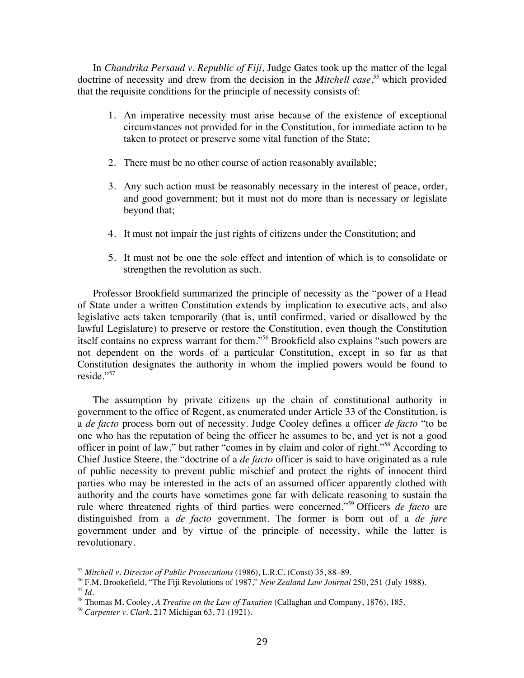In *Chandrika Persaud v. Republic of Fiji*, Judge Gates took up the matter of the legal doctrine of necessity and drew from the decision in the *Mitchell case*, <sup>55</sup> which provided that the requisite conditions for the principle of necessity consists of:

- 1. An imperative necessity must arise because of the existence of exceptional circumstances not provided for in the Constitution, for immediate action to be taken to protect or preserve some vital function of the State;
- 2. There must be no other course of action reasonably available;
- 3. Any such action must be reasonably necessary in the interest of peace, order, and good government; but it must not do more than is necessary or legislate beyond that;
- 4. It must not impair the just rights of citizens under the Constitution; and
- 5. It must not be one the sole effect and intention of which is to consolidate or strengthen the revolution as such.

Professor Brookfield summarized the principle of necessity as the "power of a Head of State under a written Constitution extends by implication to executive acts, and also legislative acts taken temporarily (that is, until confirmed, varied or disallowed by the lawful Legislature) to preserve or restore the Constitution, even though the Constitution itself contains no express warrant for them."56 Brookfield also explains "such powers are not dependent on the words of a particular Constitution, except in so far as that Constitution designates the authority in whom the implied powers would be found to reside."57

The assumption by private citizens up the chain of constitutional authority in government to the office of Regent, as enumerated under Article 33 of the Constitution, is a *de facto* process born out of necessity. Judge Cooley defines a officer *de facto* "to be one who has the reputation of being the officer he assumes to be, and yet is not a good officer in point of law," but rather "comes in by claim and color of right."58 According to Chief Justice Steere, the "doctrine of a *de facto* officer is said to have originated as a rule of public necessity to prevent public mischief and protect the rights of innocent third parties who may be interested in the acts of an assumed officer apparently clothed with authority and the courts have sometimes gone far with delicate reasoning to sustain the rule where threatened rights of third parties were concerned."59 Officers *de facto* are distinguished from a *de facto* government. The former is born out of a *de jure* government under and by virtue of the principle of necessity, while the latter is revolutionary.

<sup>55</sup> *Mitchell v. Director of Public Prosecutions* (1986), L.R.C. (Const) 35, 88–89.

<sup>56</sup> F.M. Brookefield, "The Fiji Revolutions of 1987," *New Zealand Law Journal* 250, 251 (July 1988). <sup>57</sup> *Id*.

<sup>58</sup> Thomas M. Cooley, *A Treatise on the Law of Taxation* (Callaghan and Company, 1876), 185.

<sup>59</sup> *Carpenter v. Clark*, 217 Michigan 63, 71 (1921).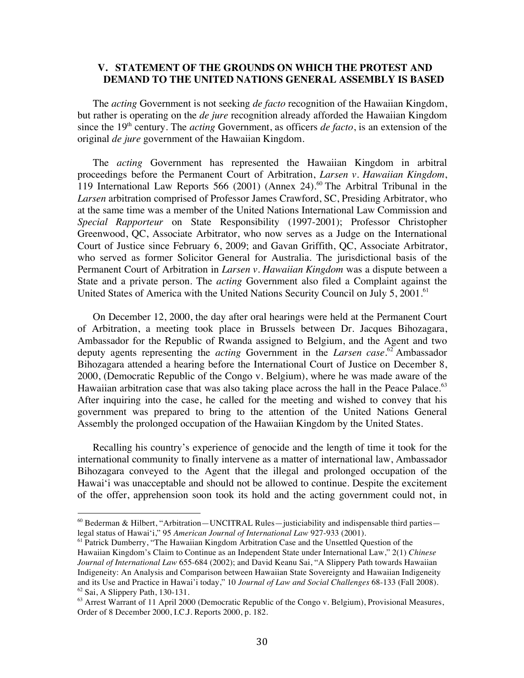#### **V. STATEMENT OF THE GROUNDS ON WHICH THE PROTEST AND DEMAND TO THE UNITED NATIONS GENERAL ASSEMBLY IS BASED**

The *acting* Government is not seeking *de facto* recognition of the Hawaiian Kingdom, but rather is operating on the *de jure* recognition already afforded the Hawaiian Kingdom since the 19<sup>th</sup> century. The *acting* Government, as officers *de facto*, is an extension of the original *de jure* government of the Hawaiian Kingdom.

The *acting* Government has represented the Hawaiian Kingdom in arbitral proceedings before the Permanent Court of Arbitration, *Larsen v. Hawaiian Kingdom*, 119 International Law Reports 566 (2001) (Annex 24). <sup>60</sup> The Arbitral Tribunal in the *Larsen* arbitration comprised of Professor James Crawford, SC, Presiding Arbitrator, who at the same time was a member of the United Nations International Law Commission and *Special Rapporteur* on State Responsibility (1997-2001); Professor Christopher Greenwood, QC, Associate Arbitrator, who now serves as a Judge on the International Court of Justice since February 6, 2009; and Gavan Griffith, QC, Associate Arbitrator, who served as former Solicitor General for Australia. The jurisdictional basis of the Permanent Court of Arbitration in *Larsen v. Hawaiian Kingdom* was a dispute between a State and a private person. The *acting* Government also filed a Complaint against the United States of America with the United Nations Security Council on July 5, 2001.<sup>61</sup>

On December 12, 2000, the day after oral hearings were held at the Permanent Court of Arbitration, a meeting took place in Brussels between Dr. Jacques Bihozagara, Ambassador for the Republic of Rwanda assigned to Belgium, and the Agent and two deputy agents representing the *acting* Government in the *Larsen case*. <sup>62</sup> Ambassador Bihozagara attended a hearing before the International Court of Justice on December 8, 2000, (Democratic Republic of the Congo v. Belgium), where he was made aware of the Hawaiian arbitration case that was also taking place across the hall in the Peace Palace.<sup>63</sup> After inquiring into the case, he called for the meeting and wished to convey that his government was prepared to bring to the attention of the United Nations General Assembly the prolonged occupation of the Hawaiian Kingdom by the United States.

Recalling his country's experience of genocide and the length of time it took for the international community to finally intervene as a matter of international law, Ambassador Bihozagara conveyed to the Agent that the illegal and prolonged occupation of the Hawai'i was unacceptable and should not be allowed to continue. Despite the excitement of the offer, apprehension soon took its hold and the acting government could not, in

 $60$  Bederman & Hilbert, "Arbitration—UNCITRAL Rules—justiciability and indispensable third parties legal status of Hawai'i," 95 *American Journal of International Law* 927-933 (2001).

<sup>&</sup>lt;sup>61</sup> Patrick Dumberry, "The Hawaiian Kingdom Arbitration Case and the Unsettled Question of the Hawaiian Kingdom's Claim to Continue as an Independent State under International Law," 2(1) *Chinese Journal of International Law* 655-684 (2002); and David Keanu Sai, "A Slippery Path towards Hawaiian Indigeneity: An Analysis and Comparison between Hawaiian State Sovereignty and Hawaiian Indigeneity and its Use and Practice in Hawai'i today," 10 *Journal of Law and Social Challenges* 68-133 (Fall 2008). <sup>62</sup> Sai, A Slippery Path, 130-131.

<sup>&</sup>lt;sup>63</sup> Arrest Warrant of 11 April 2000 (Democratic Republic of the Congo v. Belgium), Provisional Measures, Order of 8 December 2000, I.C.J. Reports 2000, p. 182.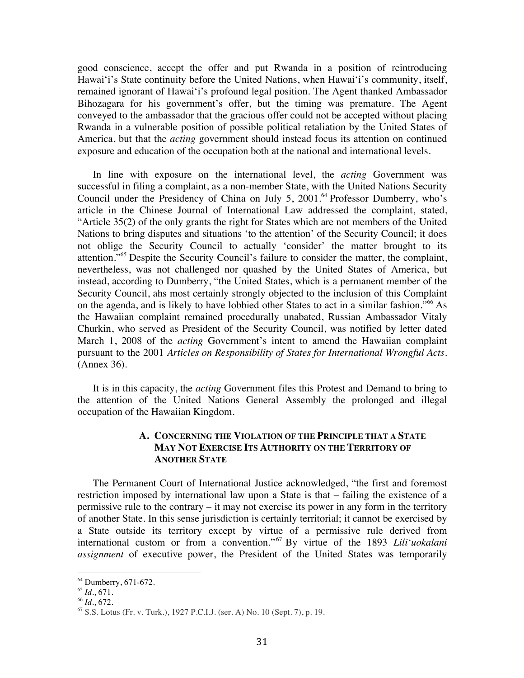good conscience, accept the offer and put Rwanda in a position of reintroducing Hawai'i's State continuity before the United Nations, when Hawai'i's community, itself, remained ignorant of Hawai'i's profound legal position. The Agent thanked Ambassador Bihozagara for his government's offer, but the timing was premature. The Agent conveyed to the ambassador that the gracious offer could not be accepted without placing Rwanda in a vulnerable position of possible political retaliation by the United States of America, but that the *acting* government should instead focus its attention on continued exposure and education of the occupation both at the national and international levels.

In line with exposure on the international level, the *acting* Government was successful in filing a complaint, as a non-member State, with the United Nations Security Council under the Presidency of China on July 5, 2001.<sup>64</sup> Professor Dumberry, who's article in the Chinese Journal of International Law addressed the complaint, stated, "Article 35(2) of the only grants the right for States which are not members of the United Nations to bring disputes and situations 'to the attention' of the Security Council; it does not oblige the Security Council to actually 'consider' the matter brought to its attention."<sup>65</sup> Despite the Security Council's failure to consider the matter, the complaint, nevertheless, was not challenged nor quashed by the United States of America, but instead, according to Dumberry, "the United States, which is a permanent member of the Security Council, ahs most certainly strongly objected to the inclusion of this Complaint on the agenda, and is likely to have lobbied other States to act in a similar fashion."<sup>66</sup> As the Hawaiian complaint remained procedurally unabated, Russian Ambassador Vitaly Churkin, who served as President of the Security Council, was notified by letter dated March 1, 2008 of the *acting* Government's intent to amend the Hawaiian complaint pursuant to the 2001 *Articles on Responsibility of States for International Wrongful Acts*. (Annex 36).

It is in this capacity, the *acting* Government files this Protest and Demand to bring to the attention of the United Nations General Assembly the prolonged and illegal occupation of the Hawaiian Kingdom.

#### **A. CONCERNING THE VIOLATION OF THE PRINCIPLE THAT A STATE MAY NOT EXERCISE ITS AUTHORITY ON THE TERRITORY OF ANOTHER STATE**

The Permanent Court of International Justice acknowledged, "the first and foremost restriction imposed by international law upon a State is that – failing the existence of a permissive rule to the contrary – it may not exercise its power in any form in the territory of another State. In this sense jurisdiction is certainly territorial; it cannot be exercised by a State outside its territory except by virtue of a permissive rule derived from international custom or from a convention." <sup>67</sup> By virtue of the 1893 *Lili'uokalani assignment* of executive power, the President of the United States was temporarily

<sup>64</sup> Dumberry, 671-672.

<sup>65</sup> *Id*., 671.

<sup>66</sup> *Id*., 672.

<sup>67</sup> S.S. Lotus (Fr. v. Turk.), 1927 P.C.I.J. (ser. A) No. 10 (Sept. 7), p. 19.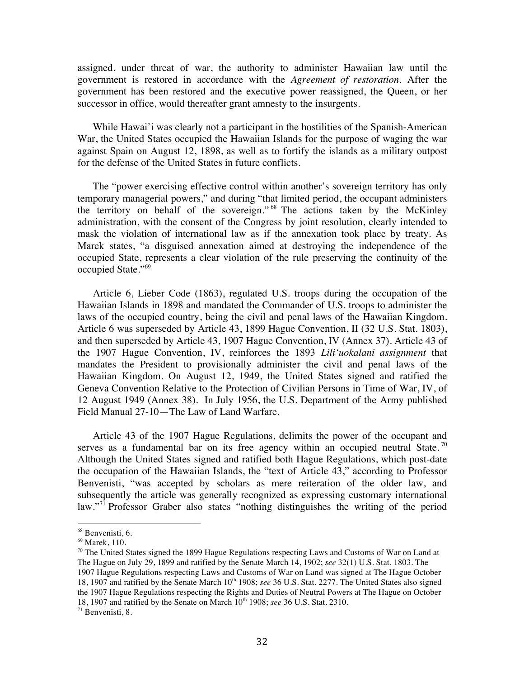assigned, under threat of war, the authority to administer Hawaiian law until the government is restored in accordance with the *Agreement of restoration*. After the government has been restored and the executive power reassigned, the Queen, or her successor in office, would thereafter grant amnesty to the insurgents.

While Hawai'i was clearly not a participant in the hostilities of the Spanish-American War, the United States occupied the Hawaiian Islands for the purpose of waging the war against Spain on August 12, 1898, as well as to fortify the islands as a military outpost for the defense of the United States in future conflicts.

The "power exercising effective control within another's sovereign territory has only temporary managerial powers," and during "that limited period, the occupant administers the territory on behalf of the sovereign." <sup>68</sup> The actions taken by the McKinley administration, with the consent of the Congress by joint resolution, clearly intended to mask the violation of international law as if the annexation took place by treaty. As Marek states, "a disguised annexation aimed at destroying the independence of the occupied State, represents a clear violation of the rule preserving the continuity of the occupied State."<sup>69</sup>

Article 6, Lieber Code (1863), regulated U.S. troops during the occupation of the Hawaiian Islands in 1898 and mandated the Commander of U.S. troops to administer the laws of the occupied country, being the civil and penal laws of the Hawaiian Kingdom. Article 6 was superseded by Article 43, 1899 Hague Convention, II (32 U.S. Stat. 1803), and then superseded by Article 43, 1907 Hague Convention, IV (Annex 37). Article 43 of the 1907 Hague Convention, IV, reinforces the 1893 *Lili'uokalani assignment* that mandates the President to provisionally administer the civil and penal laws of the Hawaiian Kingdom. On August 12, 1949, the United States signed and ratified the Geneva Convention Relative to the Protection of Civilian Persons in Time of War, IV, of 12 August 1949 (Annex 38). In July 1956, the U.S. Department of the Army published Field Manual 27-10—The Law of Land Warfare.

Article 43 of the 1907 Hague Regulations, delimits the power of the occupant and serves as a fundamental bar on its free agency within an occupied neutral State.<sup>70</sup> Although the United States signed and ratified both Hague Regulations, which post-date the occupation of the Hawaiian Islands, the "text of Article 43," according to Professor Benvenisti, "was accepted by scholars as mere reiteration of the older law, and subsequently the article was generally recognized as expressing customary international law."<sup>71</sup> Professor Graber also states "nothing distinguishes the writing of the period

<sup>&</sup>lt;sup>68</sup> Benvenisti, 6.

<sup>69</sup> Marek, 110.

 $70$  The United States signed the 1899 Hague Regulations respecting Laws and Customs of War on Land at The Hague on July 29, 1899 and ratified by the Senate March 14, 1902; *see* 32(1) U.S. Stat. 1803. The 1907 Hague Regulations respecting Laws and Customs of War on Land was signed at The Hague October 18, 1907 and ratified by the Senate March 10<sup>th</sup> 1908; *see* 36 U.S. Stat. 2277. The United States also signed the 1907 Hague Regulations respecting the Rights and Duties of Neutral Powers at The Hague on October 18, 1907 and ratified by the Senate on March 10<sup>th</sup> 1908; see 36 U.S. Stat. 2310.

<sup>71</sup> Benvenisti, 8.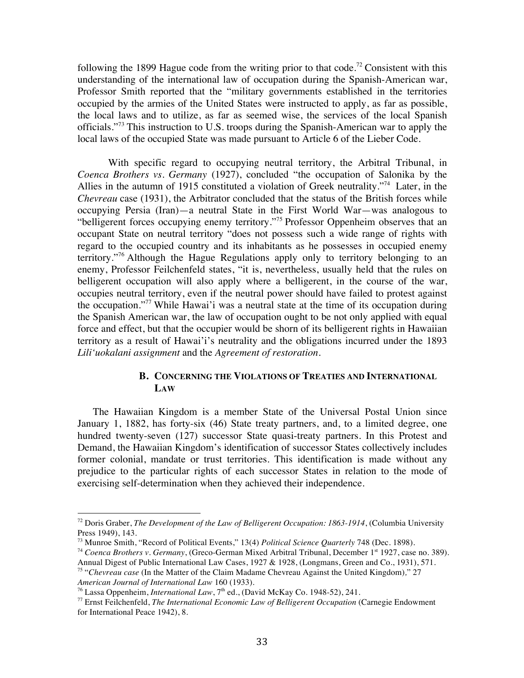following the 1899 Hague code from the writing prior to that code.<sup>72</sup> Consistent with this understanding of the international law of occupation during the Spanish-American war, Professor Smith reported that the "military governments established in the territories occupied by the armies of the United States were instructed to apply, as far as possible, the local laws and to utilize, as far as seemed wise, the services of the local Spanish officials."<sup>73</sup> This instruction to U.S. troops during the Spanish-American war to apply the local laws of the occupied State was made pursuant to Article 6 of the Lieber Code.

With specific regard to occupying neutral territory, the Arbitral Tribunal, in *Coenca Brothers vs. Germany* (1927), concluded "the occupation of Salonika by the Allies in the autumn of 1915 constituted a violation of Greek neutrality."74 Later, in the *Chevreau* case (1931), the Arbitrator concluded that the status of the British forces while occupying Persia (Iran)—a neutral State in the First World War—was analogous to "belligerent forces occupying enemy territory."<sup>75</sup> Professor Oppenheim observes that an occupant State on neutral territory "does not possess such a wide range of rights with regard to the occupied country and its inhabitants as he possesses in occupied enemy territory."<sup>76</sup> Although the Hague Regulations apply only to territory belonging to an enemy, Professor Feilchenfeld states, "it is, nevertheless, usually held that the rules on belligerent occupation will also apply where a belligerent, in the course of the war, occupies neutral territory, even if the neutral power should have failed to protest against the occupation."<sup>77</sup> While Hawai'i was a neutral state at the time of its occupation during the Spanish American war, the law of occupation ought to be not only applied with equal force and effect, but that the occupier would be shorn of its belligerent rights in Hawaiian territory as a result of Hawai'i's neutrality and the obligations incurred under the 1893 *Lili'uokalani assignment* and the *Agreement of restoration*.

#### **B. CONCERNING THE VIOLATIONS OF TREATIES AND INTERNATIONAL LAW**

The Hawaiian Kingdom is a member State of the Universal Postal Union since January 1, 1882, has forty-six (46) State treaty partners, and, to a limited degree, one hundred twenty-seven (127) successor State quasi-treaty partners. In this Protest and Demand, the Hawaiian Kingdom's identification of successor States collectively includes former colonial, mandate or trust territories. This identification is made without any prejudice to the particular rights of each successor States in relation to the mode of exercising self-determination when they achieved their independence.

<sup>72</sup> Doris Graber, *The Development of the Law of Belligerent Occupation: 1863-1914*, (Columbia University Press 1949), 143.

<sup>73</sup> Munroe Smith, "Record of Political Events," 13(4) *Political Science Quarterly* 748 (Dec. 1898).

<sup>&</sup>lt;sup>74</sup> *Coenca Brothers v. Germany*, (Greco-German Mixed Arbitral Tribunal, December 1<sup>st</sup> 1927, case no. 389). Annual Digest of Public International Law Cases, 1927 & 1928, (Longmans, Green and Co., 1931), 571.

<sup>75</sup> "*Chevreau case* (In the Matter of the Claim Madame Chevreau Against the United Kingdom)*,*" 27 *American Journal of International Law* 160 (1933).

<sup>&</sup>lt;sup>76</sup> Lassa Oppenheim, *International Law*, 7<sup>th</sup> ed., (David McKay Co. 1948-52), 241.

<sup>77</sup> Ernst Feilchenfeld, *The International Economic Law of Belligerent Occupation* (Carnegie Endowment for International Peace 1942), 8.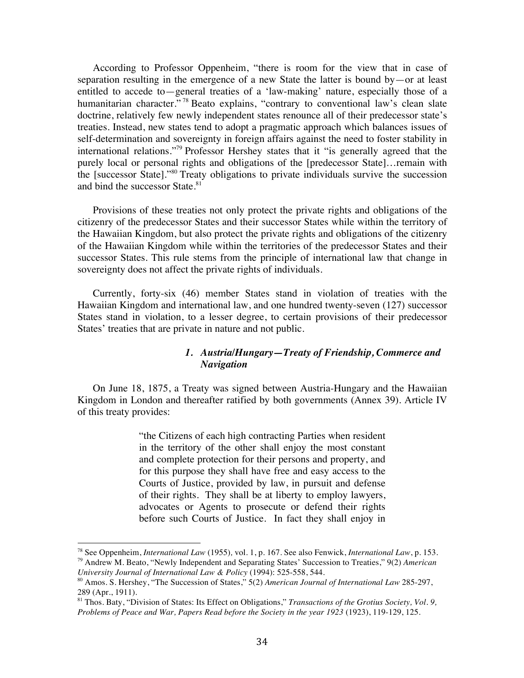According to Professor Oppenheim, "there is room for the view that in case of separation resulting in the emergence of a new State the latter is bound by—or at least entitled to accede to—general treaties of a 'law-making' nature, especially those of a humanitarian character."<sup>78</sup> Beato explains, "contrary to conventional law's clean slate doctrine, relatively few newly independent states renounce all of their predecessor state's treaties. Instead, new states tend to adopt a pragmatic approach which balances issues of self-determination and sovereignty in foreign affairs against the need to foster stability in international relations."79 Professor Hershey states that it "is generally agreed that the purely local or personal rights and obligations of the [predecessor State]…remain with the [successor State]."<sup>80</sup> Treaty obligations to private individuals survive the succession and bind the successor State.<sup>81</sup>

Provisions of these treaties not only protect the private rights and obligations of the citizenry of the predecessor States and their successor States while within the territory of the Hawaiian Kingdom, but also protect the private rights and obligations of the citizenry of the Hawaiian Kingdom while within the territories of the predecessor States and their successor States. This rule stems from the principle of international law that change in sovereignty does not affect the private rights of individuals.

Currently, forty-six (46) member States stand in violation of treaties with the Hawaiian Kingdom and international law, and one hundred twenty-seven (127) successor States stand in violation, to a lesser degree, to certain provisions of their predecessor States' treaties that are private in nature and not public.

#### *1. Austria/Hungary—Treaty of Friendship, Commerce and Navigation*

On June 18, 1875, a Treaty was signed between Austria-Hungary and the Hawaiian Kingdom in London and thereafter ratified by both governments (Annex 39). Article IV of this treaty provides:

> "the Citizens of each high contracting Parties when resident in the territory of the other shall enjoy the most constant and complete protection for their persons and property, and for this purpose they shall have free and easy access to the Courts of Justice, provided by law, in pursuit and defense of their rights. They shall be at liberty to employ lawyers, advocates or Agents to prosecute or defend their rights before such Courts of Justice. In fact they shall enjoy in

<sup>78</sup> See Oppenheim, *International Law* (1955)*,* vol. 1, p. 167. See also Fenwick, *International Law*, p. 153. <sup>79</sup> Andrew M. Beato, "Newly Independent and Separating States' Succession to Treaties," 9(2) *American University Journal of International Law & Policy* (1994): 525-558, 544.

<sup>80</sup> Amos. S. Hershey, "The Succession of States," 5(2) *American Journal of International Law* 285-297, 289 (Apr., 1911).

<sup>81</sup> Thos. Baty, "Division of States: Its Effect on Obligations," *Transactions of the Grotius Society, Vol. 9, Problems of Peace and War, Papers Read before the Society in the year 1923* (1923), 119-129, 125.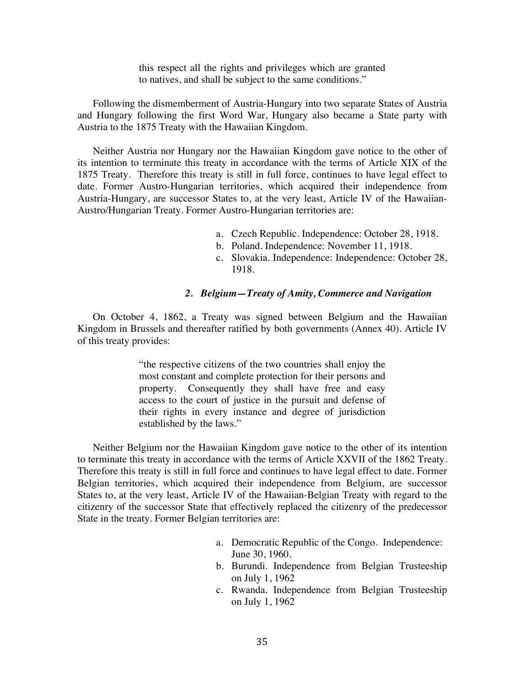this respect all the rights and privileges which are granted to natives, and shall be subject to the same conditions."

Following the dismemberment of Austria-Hungary into two separate States of Austria and Hungary following the first Word War, Hungary also became a State party with Austria to the 1875 Treaty with the Hawaiian Kingdom.

Neither Austria nor Hungary nor the Hawaiian Kingdom gave notice to the other of its intention to terminate this treaty in accordance with the terms of Article XIX of the 1875 Treaty. Therefore this treaty is still in full force, continues to have legal effect to date. Former Austro-Hungarian territories, which acquired their independence from Austria-Hungary, are successor States to, at the very least, Article IV of the Hawaiian-Austro/Hungarian Treaty. Former Austro-Hungarian territories are:

- a. Czech Republic. Independence: October 28, 1918.
- b. Poland. Independence: November 11, 1918.
- c. Slovakia. Independence: Independence: October 28, 1918.

#### *2. Belgium—Treaty of Amity, Commerce and Navigation*

On October 4, 1862, a Treaty was signed between Belgium and the Hawaiian Kingdom in Brussels and thereafter ratified by both governments (Annex 40). Article IV of this treaty provides:

> "the respective citizens of the two countries shall enjoy the most constant and complete protection for their persons and property. Consequently they shall have free and easy access to the court of justice in the pursuit and defense of their rights in every instance and degree of jurisdiction established by the laws."

Neither Belgium nor the Hawaiian Kingdom gave notice to the other of its intention to terminate this treaty in accordance with the terms of Article XXVII of the 1862 Treaty. Therefore this treaty is still in full force and continues to have legal effect to date. Former Belgian territories, which acquired their independence from Belgium, are successor States to, at the very least, Article IV of the Hawaiian-Belgian Treaty with regard to the citizenry of the successor State that effectively replaced the citizenry of the predecessor State in the treaty. Former Belgian territories are:

- a. Democratic Republic of the Congo. Independence: June 30, 1960.
- b. Burundi. Independence from Belgian Trusteeship on July 1, 1962
- c. Rwanda. Independence from Belgian Trusteeship on July 1, 1962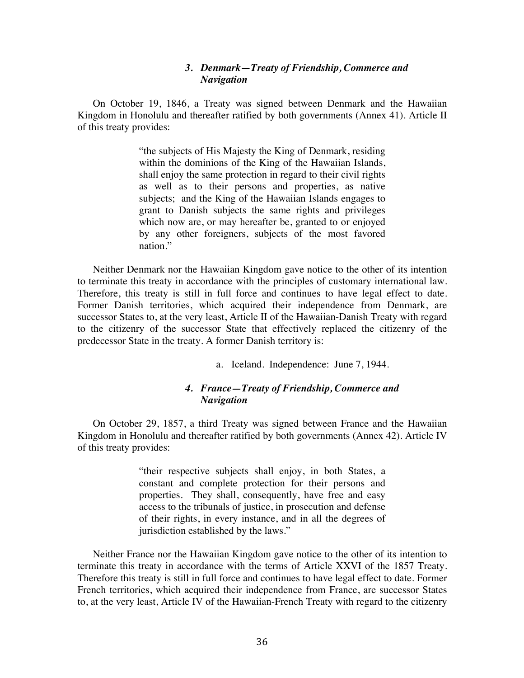#### *3. Denmark—Treaty of Friendship, Commerce and Navigation*

On October 19, 1846, a Treaty was signed between Denmark and the Hawaiian Kingdom in Honolulu and thereafter ratified by both governments (Annex 41). Article II of this treaty provides:

> "the subjects of His Majesty the King of Denmark, residing within the dominions of the King of the Hawaiian Islands, shall enjoy the same protection in regard to their civil rights as well as to their persons and properties, as native subjects; and the King of the Hawaiian Islands engages to grant to Danish subjects the same rights and privileges which now are, or may hereafter be, granted to or enjoyed by any other foreigners, subjects of the most favored nation."

Neither Denmark nor the Hawaiian Kingdom gave notice to the other of its intention to terminate this treaty in accordance with the principles of customary international law. Therefore, this treaty is still in full force and continues to have legal effect to date. Former Danish territories, which acquired their independence from Denmark, are successor States to, at the very least, Article II of the Hawaiian-Danish Treaty with regard to the citizenry of the successor State that effectively replaced the citizenry of the predecessor State in the treaty. A former Danish territory is:

a. Iceland. Independence: June 7, 1944.

#### *4. France—Treaty of Friendship, Commerce and Navigation*

On October 29, 1857, a third Treaty was signed between France and the Hawaiian Kingdom in Honolulu and thereafter ratified by both governments (Annex 42). Article IV of this treaty provides:

> "their respective subjects shall enjoy, in both States, a constant and complete protection for their persons and properties. They shall, consequently, have free and easy access to the tribunals of justice, in prosecution and defense of their rights, in every instance, and in all the degrees of jurisdiction established by the laws."

Neither France nor the Hawaiian Kingdom gave notice to the other of its intention to terminate this treaty in accordance with the terms of Article XXVI of the 1857 Treaty. Therefore this treaty is still in full force and continues to have legal effect to date. Former French territories, which acquired their independence from France, are successor States to, at the very least, Article IV of the Hawaiian-French Treaty with regard to the citizenry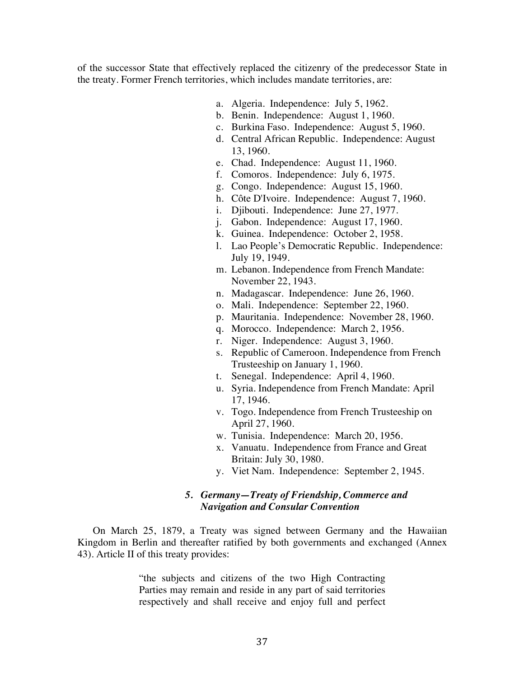of the successor State that effectively replaced the citizenry of the predecessor State in the treaty. Former French territories, which includes mandate territories, are:

- a. Algeria. Independence: July 5, 1962.
- b. Benin. Independence: August 1, 1960.
- c. Burkina Faso. Independence: August 5, 1960.
- d. Central African Republic. Independence: August 13, 1960.
- e. Chad. Independence: August 11, 1960.
- f. Comoros. Independence: July 6, 1975.
- g. Congo. Independence: August 15, 1960.
- h. Côte D'Ivoire. Independence: August 7, 1960.
- i. Djibouti. Independence: June 27, 1977.
- j. Gabon. Independence: August 17, 1960.
- k. Guinea. Independence: October 2, 1958.
- l. Lao People's Democratic Republic. Independence: July 19, 1949.
- m. Lebanon. Independence from French Mandate: November 22, 1943.
- n. Madagascar. Independence: June 26, 1960.
- o. Mali. Independence: September 22, 1960.
- p. Mauritania. Independence: November 28, 1960.
- q. Morocco. Independence: March 2, 1956.
- r. Niger. Independence: August 3, 1960.
- s. Republic of Cameroon. Independence from French Trusteeship on January 1, 1960.
- t. Senegal. Independence: April 4, 1960.
- u. Syria. Independence from French Mandate: April 17, 1946.
- v. Togo. Independence from French Trusteeship on April 27, 1960.
- w. Tunisia. Independence: March 20, 1956.
- x. Vanuatu. Independence from France and Great Britain: July 30, 1980.
- y. Viet Nam. Independence: September 2, 1945.

#### *5. Germany—Treaty of Friendship, Commerce and Navigation and Consular Convention*

On March 25, 1879, a Treaty was signed between Germany and the Hawaiian Kingdom in Berlin and thereafter ratified by both governments and exchanged (Annex 43). Article II of this treaty provides:

> "the subjects and citizens of the two High Contracting Parties may remain and reside in any part of said territories respectively and shall receive and enjoy full and perfect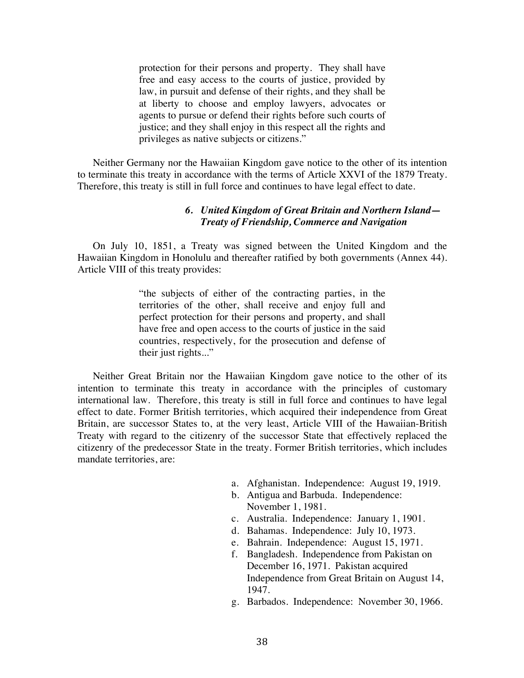protection for their persons and property. They shall have free and easy access to the courts of justice, provided by law, in pursuit and defense of their rights, and they shall be at liberty to choose and employ lawyers, advocates or agents to pursue or defend their rights before such courts of justice; and they shall enjoy in this respect all the rights and privileges as native subjects or citizens."

Neither Germany nor the Hawaiian Kingdom gave notice to the other of its intention to terminate this treaty in accordance with the terms of Article XXVI of the 1879 Treaty. Therefore, this treaty is still in full force and continues to have legal effect to date.

#### *6. United Kingdom of Great Britain and Northern Island— Treaty of Friendship, Commerce and Navigation*

On July 10, 1851, a Treaty was signed between the United Kingdom and the Hawaiian Kingdom in Honolulu and thereafter ratified by both governments (Annex 44). Article VIII of this treaty provides:

> "the subjects of either of the contracting parties, in the territories of the other, shall receive and enjoy full and perfect protection for their persons and property, and shall have free and open access to the courts of justice in the said countries, respectively, for the prosecution and defense of their just rights..."

Neither Great Britain nor the Hawaiian Kingdom gave notice to the other of its intention to terminate this treaty in accordance with the principles of customary international law. Therefore, this treaty is still in full force and continues to have legal effect to date. Former British territories, which acquired their independence from Great Britain, are successor States to, at the very least, Article VIII of the Hawaiian-British Treaty with regard to the citizenry of the successor State that effectively replaced the citizenry of the predecessor State in the treaty. Former British territories, which includes mandate territories, are:

- a. Afghanistan. Independence: August 19, 1919.
- b. Antigua and Barbuda. Independence: November 1, 1981.
- c. Australia. Independence: January 1, 1901.
- d. Bahamas. Independence: July 10, 1973.
- e. Bahrain. Independence: August 15, 1971.
- f. Bangladesh. Independence from Pakistan on December 16, 1971. Pakistan acquired Independence from Great Britain on August 14, 1947.
- g. Barbados. Independence: November 30, 1966.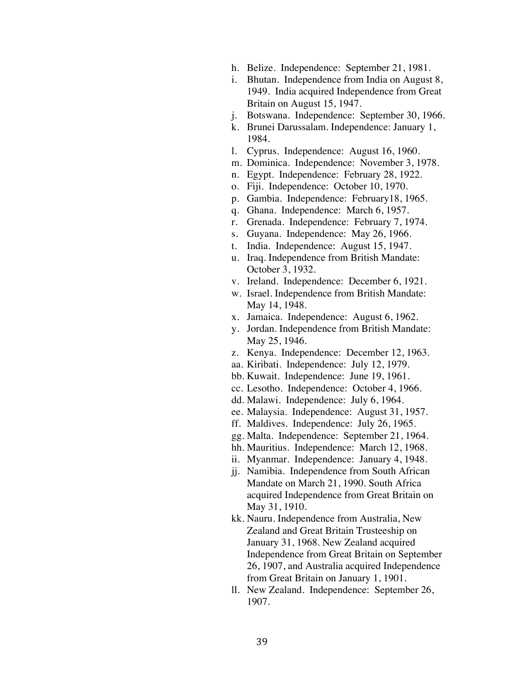- h. Belize. Independence: September 21, 1981.
- i. Bhutan. Independence from India on August 8, 1949. India acquired Independence from Great Britain on August 15, 1947.
- j. Botswana. Independence: September 30, 1966.
- k. Brunei Darussalam. Independence: January 1, 1984.
- l. Cyprus. Independence: August 16, 1960.
- m. Dominica. Independence: November 3, 1978.
- n. Egypt. Independence: February 28, 1922.
- o. Fiji. Independence: October 10, 1970.
- p. Gambia. Independence: February18, 1965.
- q. Ghana. Independence: March 6, 1957.
- r. Grenada. Independence: February 7, 1974.
- s. Guyana. Independence: May 26, 1966.
- t. India. Independence: August 15, 1947.
- u. Iraq. Independence from British Mandate: October 3, 1932.
- v. Ireland. Independence: December 6, 1921.
- w. Israel. Independence from British Mandate: May 14, 1948.
- x. Jamaica. Independence: August 6, 1962.
- y. Jordan. Independence from British Mandate: May 25, 1946.
- z. Kenya. Independence: December 12, 1963.
- aa. Kiribati. Independence: July 12, 1979.
- bb. Kuwait. Independence: June 19, 1961.
- cc. Lesotho. Independence: October 4, 1966.
- dd. Malawi. Independence: July 6, 1964.
- ee. Malaysia. Independence: August 31, 1957.
- ff. Maldives. Independence: July 26, 1965.
- gg. Malta. Independence: September 21, 1964.
- hh. Mauritius. Independence: March 12, 1968.
- ii. Myanmar. Independence: January 4, 1948.
- jj. Namibia. Independence from South African Mandate on March 21, 1990. South Africa acquired Independence from Great Britain on May 31, 1910.
- kk. Nauru. Independence from Australia, New Zealand and Great Britain Trusteeship on January 31, 1968. New Zealand acquired Independence from Great Britain on September 26, 1907, and Australia acquired Independence from Great Britain on January 1, 1901.
- ll. New Zealand. Independence: September 26, 1907.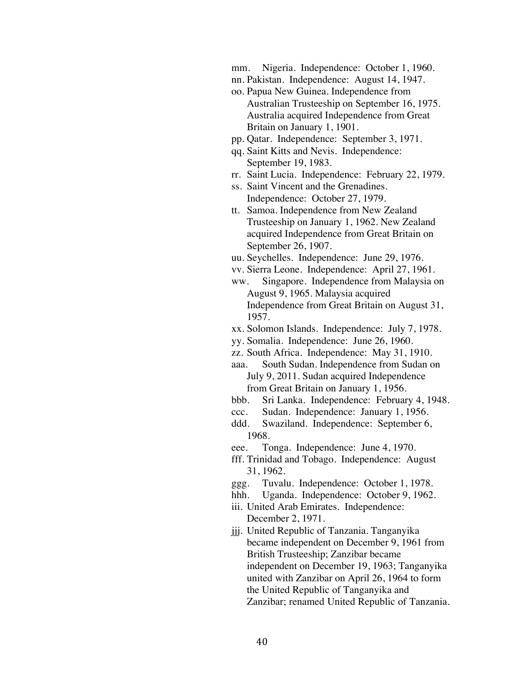mm. Nigeria. Independence: October 1, 1960.

- nn. Pakistan. Independence: August 14, 1947.
- oo. Papua New Guinea. Independence from Australian Trusteeship on September 16, 1975. Australia acquired Independence from Great Britain on January 1, 1901.
- pp. Qatar. Independence: September 3, 1971.
- qq. Saint Kitts and Nevis. Independence: September 19, 1983.
- rr. Saint Lucia. Independence: February 22, 1979.
- ss. Saint Vincent and the Grenadines. Independence: October 27, 1979.
- tt. Samoa. Independence from New Zealand Trusteeship on January 1, 1962. New Zealand acquired Independence from Great Britain on September 26, 1907.
- uu. Seychelles. Independence: June 29, 1976.
- vv. Sierra Leone. Independence: April 27, 1961.
- ww. Singapore. Independence from Malaysia on August 9, 1965. Malaysia acquired Independence from Great Britain on August 31, 1957.
- xx. Solomon Islands. Independence: July 7, 1978.
- yy. Somalia. Independence: June 26, 1960.
- zz. South Africa. Independence: May 31, 1910.

aaa. South Sudan. Independence from Sudan on July 9, 2011. Sudan acquired Independence from Great Britain on January 1, 1956.

- bbb. Sri Lanka. Independence: February 4, 1948.
- ccc. Sudan. Independence: January 1, 1956.
- ddd. Swaziland. Independence: September 6, 1968.
- eee. Tonga. Independence: June 4, 1970.
- fff. Trinidad and Tobago. Independence: August 31, 1962.
- ggg. Tuvalu. Independence: October 1, 1978.
- hhh. Uganda. Independence: October 9, 1962.
- iii. United Arab Emirates. Independence: December 2, 1971.
- jjj. United Republic of Tanzania. Tanganyika became independent on December 9, 1961 from British Trusteeship; Zanzibar became independent on December 19, 1963; Tanganyika united with Zanzibar on April 26, 1964 to form the United Republic of Tanganyika and Zanzibar; renamed United Republic of Tanzania.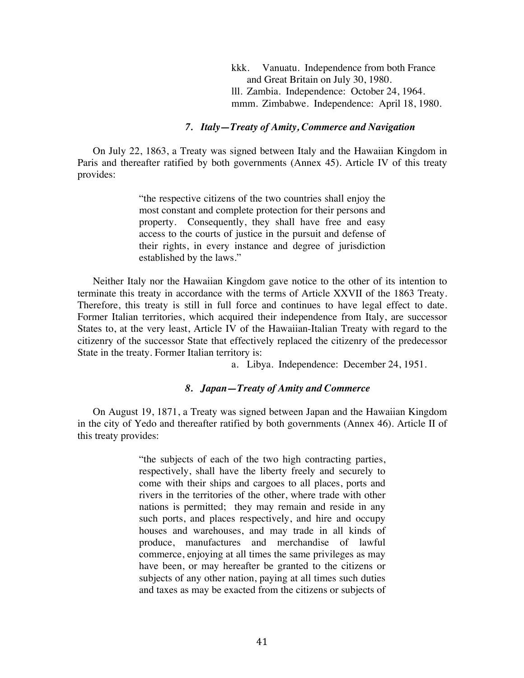kkk. Vanuatu. Independence from both France and Great Britain on July 30, 1980. lll. Zambia. Independence: October 24, 1964. mmm. Zimbabwe. Independence: April 18, 1980.

#### *7. Italy—Treaty of Amity, Commerce and Navigation*

On July 22, 1863, a Treaty was signed between Italy and the Hawaiian Kingdom in Paris and thereafter ratified by both governments (Annex 45). Article IV of this treaty provides:

> "the respective citizens of the two countries shall enjoy the most constant and complete protection for their persons and property. Consequently, they shall have free and easy access to the courts of justice in the pursuit and defense of their rights, in every instance and degree of jurisdiction established by the laws."

Neither Italy nor the Hawaiian Kingdom gave notice to the other of its intention to terminate this treaty in accordance with the terms of Article XXVII of the 1863 Treaty. Therefore, this treaty is still in full force and continues to have legal effect to date. Former Italian territories, which acquired their independence from Italy, are successor States to, at the very least, Article IV of the Hawaiian-Italian Treaty with regard to the citizenry of the successor State that effectively replaced the citizenry of the predecessor State in the treaty. Former Italian territory is:

a. Libya. Independence: December 24, 1951.

#### *8. Japan—Treaty of Amity and Commerce*

On August 19, 1871, a Treaty was signed between Japan and the Hawaiian Kingdom in the city of Yedo and thereafter ratified by both governments (Annex 46). Article II of this treaty provides:

> "the subjects of each of the two high contracting parties, respectively, shall have the liberty freely and securely to come with their ships and cargoes to all places, ports and rivers in the territories of the other, where trade with other nations is permitted; they may remain and reside in any such ports, and places respectively, and hire and occupy houses and warehouses, and may trade in all kinds of produce, manufactures and merchandise of lawful commerce, enjoying at all times the same privileges as may have been, or may hereafter be granted to the citizens or subjects of any other nation, paying at all times such duties and taxes as may be exacted from the citizens or subjects of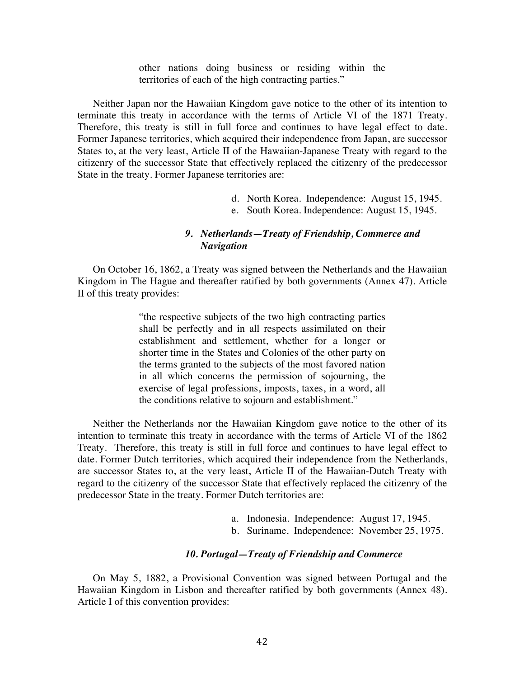other nations doing business or residing within the territories of each of the high contracting parties."

Neither Japan nor the Hawaiian Kingdom gave notice to the other of its intention to terminate this treaty in accordance with the terms of Article VI of the 1871 Treaty. Therefore, this treaty is still in full force and continues to have legal effect to date. Former Japanese territories, which acquired their independence from Japan, are successor States to, at the very least, Article II of the Hawaiian-Japanese Treaty with regard to the citizenry of the successor State that effectively replaced the citizenry of the predecessor State in the treaty. Former Japanese territories are:

- d. North Korea. Independence: August 15, 1945.
- e. South Korea. Independence: August 15, 1945.

#### *9. Netherlands—Treaty of Friendship, Commerce and Navigation*

On October 16, 1862, a Treaty was signed between the Netherlands and the Hawaiian Kingdom in The Hague and thereafter ratified by both governments (Annex 47). Article II of this treaty provides:

> "the respective subjects of the two high contracting parties shall be perfectly and in all respects assimilated on their establishment and settlement, whether for a longer or shorter time in the States and Colonies of the other party on the terms granted to the subjects of the most favored nation in all which concerns the permission of sojourning, the exercise of legal professions, imposts, taxes, in a word, all the conditions relative to sojourn and establishment."

Neither the Netherlands nor the Hawaiian Kingdom gave notice to the other of its intention to terminate this treaty in accordance with the terms of Article VI of the 1862 Treaty. Therefore, this treaty is still in full force and continues to have legal effect to date. Former Dutch territories, which acquired their independence from the Netherlands, are successor States to, at the very least, Article II of the Hawaiian-Dutch Treaty with regard to the citizenry of the successor State that effectively replaced the citizenry of the predecessor State in the treaty. Former Dutch territories are:

- a. Indonesia. Independence: August 17, 1945.
- b. Suriname. Independence: November 25, 1975.

#### *10. Portugal—Treaty of Friendship and Commerce*

On May 5, 1882, a Provisional Convention was signed between Portugal and the Hawaiian Kingdom in Lisbon and thereafter ratified by both governments (Annex 48). Article I of this convention provides: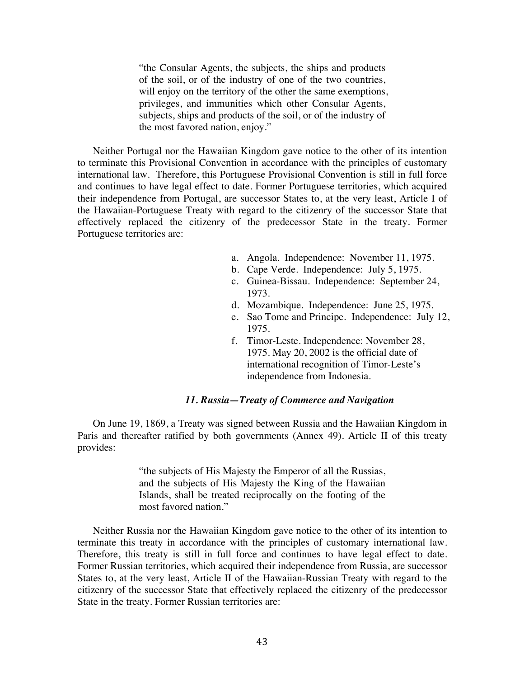"the Consular Agents, the subjects, the ships and products of the soil, or of the industry of one of the two countries, will enjoy on the territory of the other the same exemptions, privileges, and immunities which other Consular Agents, subjects, ships and products of the soil, or of the industry of the most favored nation, enjoy."

Neither Portugal nor the Hawaiian Kingdom gave notice to the other of its intention to terminate this Provisional Convention in accordance with the principles of customary international law. Therefore, this Portuguese Provisional Convention is still in full force and continues to have legal effect to date. Former Portuguese territories, which acquired their independence from Portugal, are successor States to, at the very least, Article I of the Hawaiian-Portuguese Treaty with regard to the citizenry of the successor State that effectively replaced the citizenry of the predecessor State in the treaty. Former Portuguese territories are:

- a. Angola. Independence: November 11, 1975.
- b. Cape Verde. Independence: July 5, 1975.
- c. Guinea-Bissau. Independence: September 24, 1973.
- d. Mozambique. Independence: June 25, 1975.
- e. Sao Tome and Principe. Independence: July 12, 1975.
- f. Timor-Leste. Independence: November 28, 1975. May 20, 2002 is the official date of international recognition of Timor-Leste's independence from Indonesia.

#### *11. Russia—Treaty of Commerce and Navigation*

On June 19, 1869, a Treaty was signed between Russia and the Hawaiian Kingdom in Paris and thereafter ratified by both governments (Annex 49). Article II of this treaty provides:

> "the subjects of His Majesty the Emperor of all the Russias, and the subjects of His Majesty the King of the Hawaiian Islands, shall be treated reciprocally on the footing of the most favored nation."

Neither Russia nor the Hawaiian Kingdom gave notice to the other of its intention to terminate this treaty in accordance with the principles of customary international law. Therefore, this treaty is still in full force and continues to have legal effect to date. Former Russian territories, which acquired their independence from Russia, are successor States to, at the very least, Article II of the Hawaiian-Russian Treaty with regard to the citizenry of the successor State that effectively replaced the citizenry of the predecessor State in the treaty. Former Russian territories are: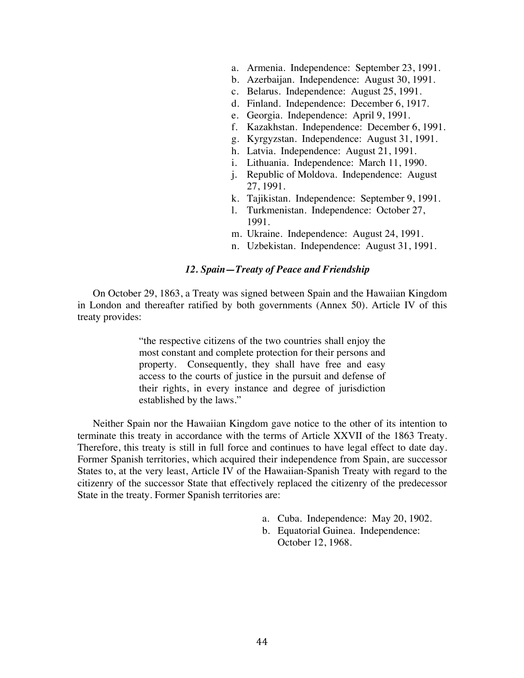- a. Armenia. Independence: September 23, 1991.
- b. Azerbaijan. Independence: August 30, 1991.
- c. Belarus. Independence: August 25, 1991.
- d. Finland. Independence: December 6, 1917.
- e. Georgia. Independence: April 9, 1991.
- f. Kazakhstan. Independence: December 6, 1991.
- g. Kyrgyzstan. Independence: August 31, 1991.
- h. Latvia. Independence: August 21, 1991.
- i. Lithuania. Independence: March 11, 1990.
- j. Republic of Moldova. Independence: August 27, 1991.
- k. Tajikistan. Independence: September 9, 1991.
- l. Turkmenistan. Independence: October 27, 1991.
- m. Ukraine. Independence: August 24, 1991.
- n. Uzbekistan. Independence: August 31, 1991.

#### *12. Spain—Treaty of Peace and Friendship*

On October 29, 1863, a Treaty was signed between Spain and the Hawaiian Kingdom in London and thereafter ratified by both governments (Annex 50). Article IV of this treaty provides:

> "the respective citizens of the two countries shall enjoy the most constant and complete protection for their persons and property. Consequently, they shall have free and easy access to the courts of justice in the pursuit and defense of their rights, in every instance and degree of jurisdiction established by the laws."

Neither Spain nor the Hawaiian Kingdom gave notice to the other of its intention to terminate this treaty in accordance with the terms of Article XXVII of the 1863 Treaty. Therefore, this treaty is still in full force and continues to have legal effect to date day. Former Spanish territories, which acquired their independence from Spain, are successor States to, at the very least, Article IV of the Hawaiian-Spanish Treaty with regard to the citizenry of the successor State that effectively replaced the citizenry of the predecessor State in the treaty. Former Spanish territories are:

- a. Cuba. Independence: May 20, 1902.
- b. Equatorial Guinea. Independence: October 12, 1968.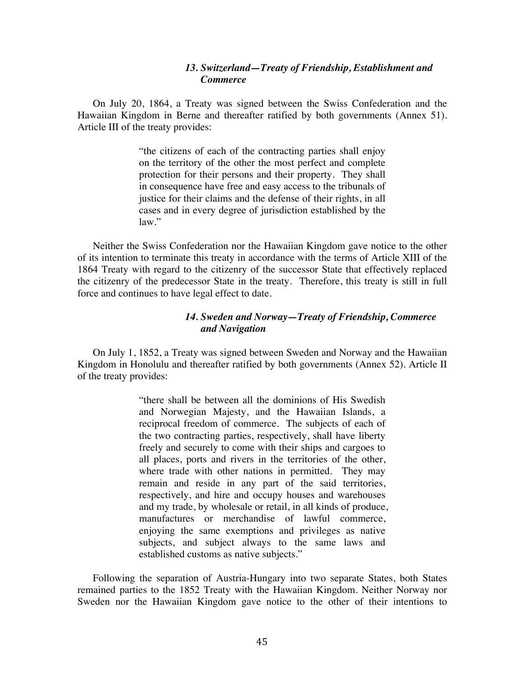#### *13. Switzerland—Treaty of Friendship, Establishment and Commerce*

On July 20, 1864, a Treaty was signed between the Swiss Confederation and the Hawaiian Kingdom in Berne and thereafter ratified by both governments (Annex 51). Article III of the treaty provides:

> "the citizens of each of the contracting parties shall enjoy on the territory of the other the most perfect and complete protection for their persons and their property. They shall in consequence have free and easy access to the tribunals of justice for their claims and the defense of their rights, in all cases and in every degree of jurisdiction established by the law."

Neither the Swiss Confederation nor the Hawaiian Kingdom gave notice to the other of its intention to terminate this treaty in accordance with the terms of Article XIII of the 1864 Treaty with regard to the citizenry of the successor State that effectively replaced the citizenry of the predecessor State in the treaty. Therefore, this treaty is still in full force and continues to have legal effect to date.

#### *14. Sweden and Norway—Treaty of Friendship, Commerce and Navigation*

On July 1, 1852, a Treaty was signed between Sweden and Norway and the Hawaiian Kingdom in Honolulu and thereafter ratified by both governments (Annex 52). Article II of the treaty provides:

> "there shall be between all the dominions of His Swedish and Norwegian Majesty, and the Hawaiian Islands, a reciprocal freedom of commerce. The subjects of each of the two contracting parties, respectively, shall have liberty freely and securely to come with their ships and cargoes to all places, ports and rivers in the territories of the other, where trade with other nations in permitted. They may remain and reside in any part of the said territories, respectively, and hire and occupy houses and warehouses and my trade, by wholesale or retail, in all kinds of produce, manufactures or merchandise of lawful commerce, enjoying the same exemptions and privileges as native subjects, and subject always to the same laws and established customs as native subjects."

Following the separation of Austria-Hungary into two separate States, both States remained parties to the 1852 Treaty with the Hawaiian Kingdom. Neither Norway nor Sweden nor the Hawaiian Kingdom gave notice to the other of their intentions to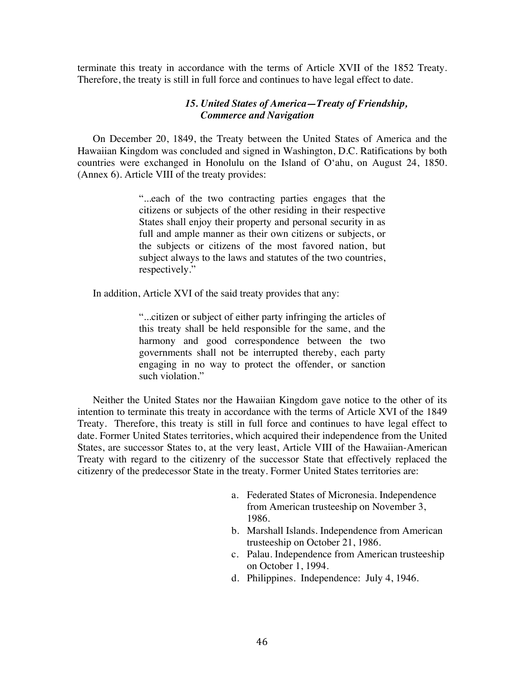terminate this treaty in accordance with the terms of Article XVII of the 1852 Treaty. Therefore, the treaty is still in full force and continues to have legal effect to date.

#### *15. United States of America—Treaty of Friendship, Commerce and Navigation*

On December 20, 1849, the Treaty between the United States of America and the Hawaiian Kingdom was concluded and signed in Washington, D.C. Ratifications by both countries were exchanged in Honolulu on the Island of O'ahu, on August 24, 1850. (Annex 6). Article VIII of the treaty provides:

> "...each of the two contracting parties engages that the citizens or subjects of the other residing in their respective States shall enjoy their property and personal security in as full and ample manner as their own citizens or subjects, or the subjects or citizens of the most favored nation, but subject always to the laws and statutes of the two countries, respectively."

In addition, Article XVI of the said treaty provides that any:

"...citizen or subject of either party infringing the articles of this treaty shall be held responsible for the same, and the harmony and good correspondence between the two governments shall not be interrupted thereby, each party engaging in no way to protect the offender, or sanction such violation."

Neither the United States nor the Hawaiian Kingdom gave notice to the other of its intention to terminate this treaty in accordance with the terms of Article XVI of the 1849 Treaty. Therefore, this treaty is still in full force and continues to have legal effect to date. Former United States territories, which acquired their independence from the United States, are successor States to, at the very least, Article VIII of the Hawaiian-American Treaty with regard to the citizenry of the successor State that effectively replaced the citizenry of the predecessor State in the treaty. Former United States territories are:

- a. Federated States of Micronesia. Independence from American trusteeship on November 3, 1986.
- b. Marshall Islands. Independence from American trusteeship on October 21, 1986.
- c. Palau. Independence from American trusteeship on October 1, 1994.
- d. Philippines. Independence: July 4, 1946.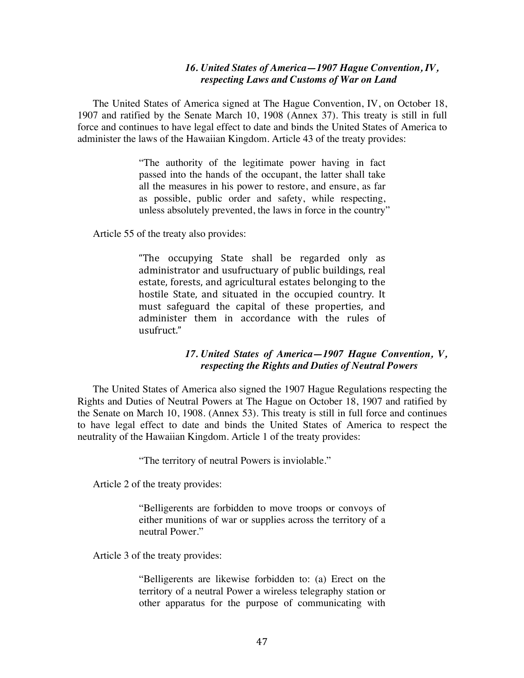#### *16. United States of America—1907 Hague Convention, IV, respecting Laws and Customs of War on Land*

The United States of America signed at The Hague Convention, IV, on October 18, 1907 and ratified by the Senate March 10, 1908 (Annex 37). This treaty is still in full force and continues to have legal effect to date and binds the United States of America to administer the laws of the Hawaiian Kingdom. Article 43 of the treaty provides:

> "The authority of the legitimate power having in fact passed into the hands of the occupant, the latter shall take all the measures in his power to restore, and ensure, as far as possible, public order and safety, while respecting, unless absolutely prevented, the laws in force in the country"

Article 55 of the treaty also provides:

"The occupying State shall be regarded only as administrator and usufructuary of public buildings, real estate, forests, and agricultural estates belonging to the hostile State, and situated in the occupied country. It must safeguard the capital of these properties, and administer them in accordance with the rules of usufruct."

#### *17. United States of America—1907 Hague Convention, V, respecting the Rights and Duties of Neutral Powers*

The United States of America also signed the 1907 Hague Regulations respecting the Rights and Duties of Neutral Powers at The Hague on October 18, 1907 and ratified by the Senate on March 10, 1908. (Annex 53). This treaty is still in full force and continues to have legal effect to date and binds the United States of America to respect the neutrality of the Hawaiian Kingdom. Article 1 of the treaty provides:

"The territory of neutral Powers is inviolable."

Article 2 of the treaty provides:

"Belligerents are forbidden to move troops or convoys of either munitions of war or supplies across the territory of a neutral Power."

Article 3 of the treaty provides:

"Belligerents are likewise forbidden to: (a) Erect on the territory of a neutral Power a wireless telegraphy station or other apparatus for the purpose of communicating with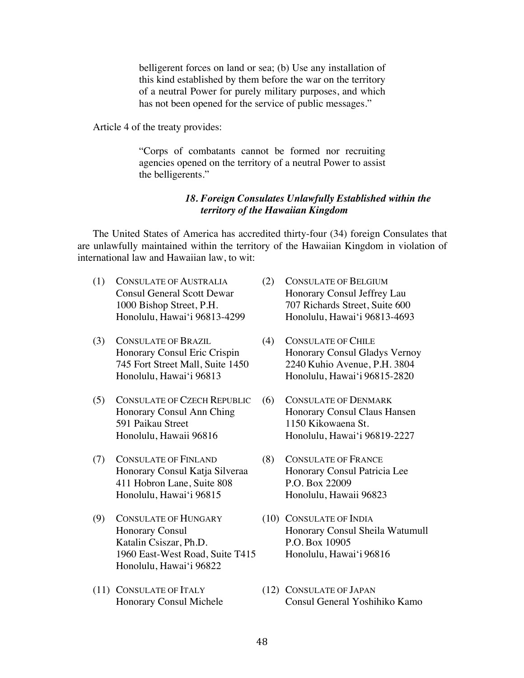belligerent forces on land or sea; (b) Use any installation of this kind established by them before the war on the territory of a neutral Power for purely military purposes, and which has not been opened for the service of public messages."

Article 4 of the treaty provides:

"Corps of combatants cannot be formed nor recruiting agencies opened on the territory of a neutral Power to assist the belligerents."

#### *18. Foreign Consulates Unlawfully Established within the territory of the Hawaiian Kingdom*

The United States of America has accredited thirty-four (34) foreign Consulates that are unlawfully maintained within the territory of the Hawaiian Kingdom in violation of international law and Hawaiian law, to wit:

- (1) CONSULATE OF AUSTRALIA (2) CONSULATE OF BELGIUM
- (3) CONSULATE OF BRAZIL (4) CONSULATE OF CHILE
- (5) CONSULATE OF CZECH REPUBLIC (6) CONSULATE OF DENMARK 591 Paikau Street 1150 Kikowaena St.
- (7) CONSULATE OF FINLAND (8) CONSULATE OF FRANCE 411 Hobron Lane, Suite 808 P.O. Box 22009 Honolulu, Hawai'i 96815 Honolulu, Hawaii 96823
- (9) CONSULATE OF HUNGARY (10) CONSULATE OF INDIA Katalin Csiszar, Ph.D. P.O. Box 10905 1960 East-West Road, Suite T415 Honolulu, Hawai'i 96816 Honolulu, Hawai'i 96822
- (11) CONSULATE OF ITALY (12) CONSULATE OF JAPAN
- Consul General Scott Dewar Honorary Consul Jeffrey Lau 1000 Bishop Street, P.H. 707 Richards Street, Suite 600 Honolulu, Hawai'i 96813-4299 Honolulu, Hawai'i 96813-4693
- Honorary Consul Eric Crispin Honorary Consul Gladys Vernoy 745 Fort Street Mall, Suite 1450 2240 Kuhio Avenue, P.H. 3804 Honolulu, Hawai'i 96813 Honolulu, Hawai'i 96815-2820
- Honorary Consul Ann Ching Honorary Consul Claus Hansen Honolulu, Hawaii 96816 Honolulu, Hawai'i 96819-2227
- Honorary Consul Katja Silveraa Honorary Consul Patricia Lee
- Honorary Consul Honorary Consul Sheila Watumull
- Honorary Consul Michele Consul General Yoshihiko Kamo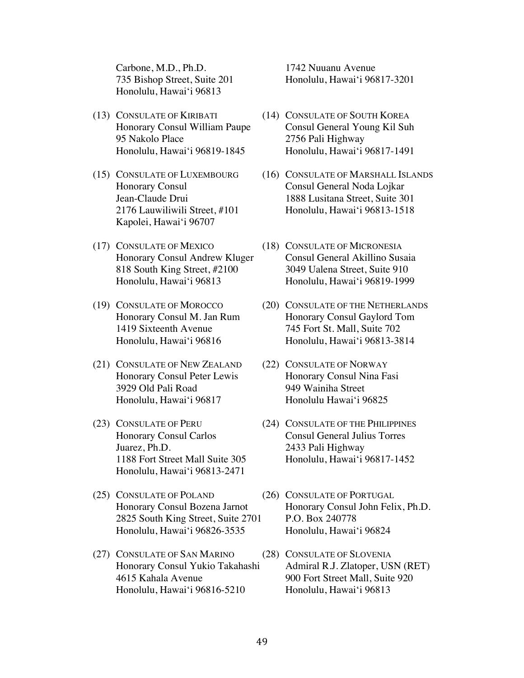Carbone, M.D., Ph.D. 1742 Nuuanu Avenue Honolulu, Hawai'i 96813

- 95 Nakolo Place 2756 Pali Highway
- Kapolei, Hawai'i 96707
- (17) CONSULATE OF MEXICO (18) CONSULATE OF MICRONESIA
- 
- (21) CONSULATE OF NEW ZEALAND (22) CONSULATE OF NORWAY 3929 Old Pali Road 949 Wainiha Street Honolulu, Hawai'i 96817 Honolulu Hawai'i 96825
- (23) CONSULATE OF PERU (24) CONSULATE OF THE PHILIPPINES Juarez, Ph.D. 2433 Pali Highway Honolulu, Hawai'i 96813-2471
- (25) CONSULATE OF POLAND (26) CONSULATE OF PORTUGAL 2825 South King Street, Suite 2701 P.O. Box 240778 Honolulu, Hawai'i 96826-3535 Honolulu, Hawai'i 96824
- (27) CONSULATE OF SAN MARINO (28) CONSULATE OF SLOVENIA Honolulu, Hawai'i 96816-5210 Honolulu, Hawai'i 96813

735 Bishop Street, Suite 201 Honolulu, Hawai'i 96817-3201

- (13) CONSULATE OF KIRIBATI (14) CONSULATE OF SOUTH KOREA Honorary Consul William Paupe Consul General Young Kil Suh Honolulu, Hawai'i 96819-1845 Honolulu, Hawai'i 96817-1491
- (15) CONSULATE OF LUXEMBOURG (16) CONSULATE OF MARSHALL ISLANDS Honorary Consul Consul General Noda Lojkar Jean-Claude Drui 1888 Lusitana Street, Suite 301 2176 Lauwiliwili Street, #101 Honolulu, Hawai'i 96813-1518
	- Honorary Consul Andrew Kluger Consul General Akillino Susaia 818 South King Street, #2100 3049 Ualena Street, Suite 910 Honolulu, Hawai'i 96813 Honolulu, Hawai'i 96819-1999
- (19) CONSULATE OF MOROCCO (20) CONSULATE OF THE NETHERLANDS Honorary Consul M. Jan Rum Honorary Consul Gaylord Tom 1419 Sixteenth Avenue 745 Fort St. Mall, Suite 702 Honolulu, Hawai'i 96816 Honolulu, Hawai'i 96813-3814
	- Honorary Consul Peter Lewis Honorary Consul Nina Fasi
	- Honorary Consul Carlos Consul General Julius Torres 1188 Fort Street Mall Suite 305 Honolulu, Hawai'i 96817-1452
	- Honorary Consul Bozena Jarnot Honorary Consul John Felix, Ph.D.
	- Honorary Consul Yukio Takahashi Admiral R.J. Zlatoper, USN (RET) 4615 Kahala Avenue 900 Fort Street Mall, Suite 920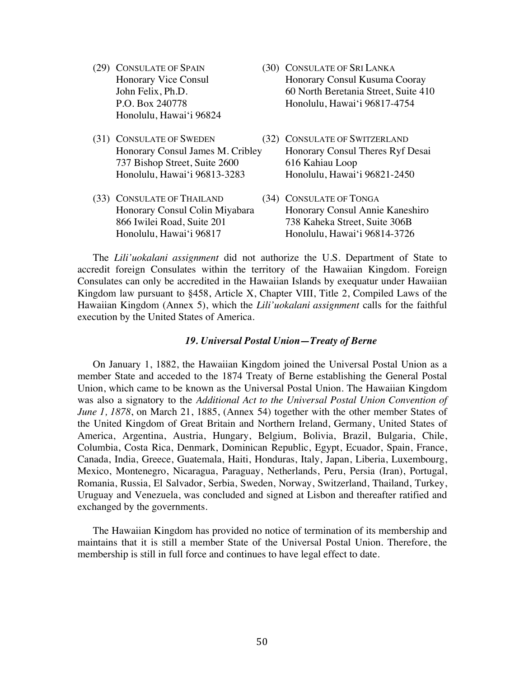- (29) CONSULATE OF SPAIN (30) CONSULATE OF SRI LANKA Honolulu, Hawai'i 96824
- (31) CONSULATE OF SWEDEN (32) CONSULATE OF SWITZERLAND 737 Bishop Street, Suite 2600 616 Kahiau Loop Honolulu, Hawai'i 96813-3283 Honolulu, Hawai'i 96821-2450
- (33) CONSULATE OF THAILAND (34) CONSULATE OF TONGA
- Honorary Vice Consul Honorary Consul Kusuma Cooray John Felix, Ph.D. 60 North Beretania Street, Suite 410 P.O. Box 240778 Honolulu, Hawai'i 96817-4754
- Honorary Consul James M. Cribley Honorary Consul Theres Ryf Desai
- Honorary Consul Colin Miyabara Honorary Consul Annie Kaneshiro 866 Iwilei Road, Suite 201 738 Kaheka Street, Suite 306B Honolulu, Hawai'i 96817 Honolulu, Hawai'i 96814-3726

The *Lili'uokalani assignment* did not authorize the U.S. Department of State to accredit foreign Consulates within the territory of the Hawaiian Kingdom. Foreign Consulates can only be accredited in the Hawaiian Islands by exequatur under Hawaiian Kingdom law pursuant to §458, Article X, Chapter VIII, Title 2, Compiled Laws of the Hawaiian Kingdom (Annex 5), which the *Lili'uokalani assignment* calls for the faithful execution by the United States of America.

#### *19. Universal Postal Union—Treaty of Berne*

On January 1, 1882, the Hawaiian Kingdom joined the Universal Postal Union as a member State and acceded to the 1874 Treaty of Berne establishing the General Postal Union, which came to be known as the Universal Postal Union. The Hawaiian Kingdom was also a signatory to the *Additional Act to the Universal Postal Union Convention of June 1, 1878*, on March 21, 1885, (Annex 54) together with the other member States of the United Kingdom of Great Britain and Northern Ireland, Germany, United States of America, Argentina, Austria, Hungary, Belgium, Bolivia, Brazil, Bulgaria, Chile, Columbia, Costa Rica, Denmark, Dominican Republic, Egypt, Ecuador, Spain, France, Canada, India, Greece, Guatemala, Haiti, Honduras, Italy, Japan, Liberia, Luxembourg, Mexico, Montenegro, Nicaragua, Paraguay, Netherlands, Peru, Persia (Iran), Portugal, Romania, Russia, El Salvador, Serbia, Sweden, Norway, Switzerland, Thailand, Turkey, Uruguay and Venezuela, was concluded and signed at Lisbon and thereafter ratified and exchanged by the governments.

The Hawaiian Kingdom has provided no notice of termination of its membership and maintains that it is still a member State of the Universal Postal Union. Therefore, the membership is still in full force and continues to have legal effect to date.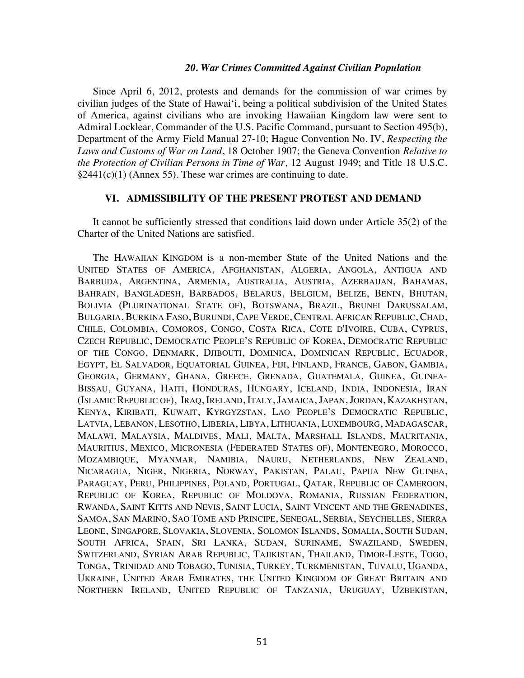#### *20. War Crimes Committed Against Civilian Population*

Since April 6, 2012, protests and demands for the commission of war crimes by civilian judges of the State of Hawai'i, being a political subdivision of the United States of America, against civilians who are invoking Hawaiian Kingdom law were sent to Admiral Locklear, Commander of the U.S. Pacific Command, pursuant to Section 495(b), Department of the Army Field Manual 27-10; Hague Convention No. IV, *Respecting the Laws and Customs of War on Land*, 18 October 1907; the Geneva Convention *Relative to the Protection of Civilian Persons in Time of War*, 12 August 1949; and Title 18 U.S.C.  $§2441(c)(1)$  (Annex 55). These war crimes are continuing to date.

#### **VI. ADMISSIBILITY OF THE PRESENT PROTEST AND DEMAND**

It cannot be sufficiently stressed that conditions laid down under Article 35(2) of the Charter of the United Nations are satisfied.

The HAWAIIAN KINGDOM is a non-member State of the United Nations and the UNITED STATES OF AMERICA, AFGHANISTAN, ALGERIA, ANGOLA, ANTIGUA AND BARBUDA, ARGENTINA, ARMENIA, AUSTRALIA, AUSTRIA, AZERBAIJAN, BAHAMAS, BAHRAIN, BANGLADESH, BARBADOS, BELARUS, BELGIUM, BELIZE, BENIN, BHUTAN, BOLIVIA (PLURINATIONAL STATE OF), BOTSWANA, BRAZIL, BRUNEI DARUSSALAM, BULGARIA, BURKINA FASO, BURUNDI, CAPE VERDE, CENTRAL AFRICAN REPUBLIC, CHAD, CHILE, COLOMBIA, COMOROS, CONGO, COSTA RICA, COTE D'IVOIRE, CUBA, CYPRUS, CZECH REPUBLIC, DEMOCRATIC PEOPLE'S REPUBLIC OF KOREA, DEMOCRATIC REPUBLIC OF THE CONGO, DENMARK, DJIBOUTI, DOMINICA, DOMINICAN REPUBLIC, ECUADOR, EGYPT, EL SALVADOR, EQUATORIAL GUINEA, FIJI, FINLAND, FRANCE, GABON, GAMBIA, GEORGIA, GERMANY, GHANA, GREECE, GRENADA, GUATEMALA, GUINEA, GUINEA-BISSAU, GUYANA, HAITI, HONDURAS, HUNGARY, ICELAND, INDIA, INDONESIA, IRAN (ISLAMIC REPUBLIC OF), IRAQ, IRELAND, ITALY, JAMAICA, JAPAN, JORDAN, KAZAKHSTAN, KENYA, KIRIBATI, KUWAIT, KYRGYZSTAN, LAO PEOPLE'S DEMOCRATIC REPUBLIC, LATVIA, LEBANON, LESOTHO, LIBERIA, LIBYA, LITHUANIA, LUXEMBOURG, MADAGASCAR, MALAWI, MALAYSIA, MALDIVES, MALI, MALTA, MARSHALL ISLANDS, MAURITANIA, MAURITIUS, MEXICO, MICRONESIA (FEDERATED STATES OF), MONTENEGRO, MOROCCO, MOZAMBIQUE, MYANMAR, NAMIBIA, NAURU, NETHERLANDS, NEW ZEALAND, NICARAGUA, NIGER, NIGERIA, NORWAY, PAKISTAN, PALAU, PAPUA NEW GUINEA, PARAGUAY, PERU, PHILIPPINES, POLAND, PORTUGAL, QATAR, REPUBLIC OF CAMEROON, REPUBLIC OF KOREA, REPUBLIC OF MOLDOVA, ROMANIA, RUSSIAN FEDERATION, RWANDA, SAINT KITTS AND NEVIS, SAINT LUCIA, SAINT VINCENT AND THE GRENADINES, SAMOA, SAN MARINO, SAO TOME AND PRINCIPE, SENEGAL, SERBIA, SEYCHELLES, SIERRA LEONE, SINGAPORE, SLOVAKIA, SLOVENIA, SOLOMON ISLANDS, SOMALIA, SOUTH SUDAN, SOUTH AFRICA, SPAIN, SRI LANKA, SUDAN, SURINAME, SWAZILAND, SWEDEN, SWITZERLAND, SYRIAN ARAB REPUBLIC, TAJIKISTAN, THAILAND, TIMOR-LESTE, TOGO, TONGA, TRINIDAD AND TOBAGO, TUNISIA, TURKEY, TURKMENISTAN, TUVALU, UGANDA, UKRAINE, UNITED ARAB EMIRATES, THE UNITED KINGDOM OF GREAT BRITAIN AND NORTHERN IRELAND, UNITED REPUBLIC OF TANZANIA, URUGUAY, UZBEKISTAN,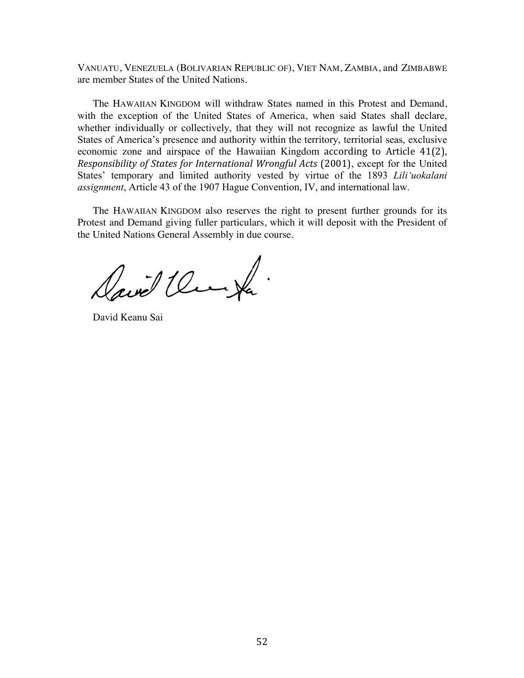VANUATU, VENEZUELA (BOLIVARIAN REPUBLIC OF), VIET NAM, ZAMBIA, and ZIMBABWE are member States of the United Nations.

The HAWAIIAN KINGDOM will withdraw States named in this Protest and Demand, with the exception of the United States of America, when said States shall declare, whether individually or collectively, that they will not recognize as lawful the United States of America's presence and authority within the territory, territorial seas, exclusive economic zone and airspace of the Hawaiian Kingdom according to Article 41(2), *Responsibility of States for International Wrongful Acts* (2001), except for the United States' temporary and limited authority vested by virtue of the 1893 *Lili'uokalani assignment*, Article 43 of the 1907 Hague Convention, IV, and international law.

The HAWAIIAN KINGDOM also reserves the right to present further grounds for its Protest and Demand giving fuller particulars, which it will deposit with the President of the United Nations General Assembly in due course.

David Um Ja

David Keanu Sai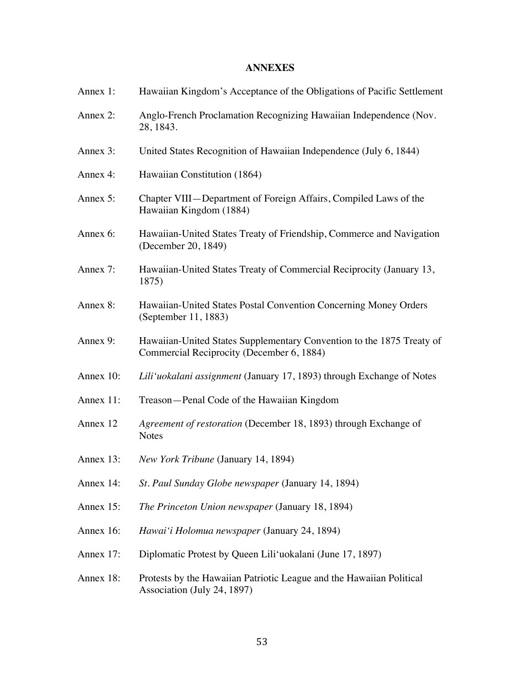## **ANNEXES**

| Annex 1:  | Hawaiian Kingdom's Acceptance of the Obligations of Pacific Settlement                                             |
|-----------|--------------------------------------------------------------------------------------------------------------------|
| Annex 2:  | Anglo-French Proclamation Recognizing Hawaiian Independence (Nov.<br>28, 1843.                                     |
| Annex 3:  | United States Recognition of Hawaiian Independence (July 6, 1844)                                                  |
| Annex 4:  | Hawaiian Constitution (1864)                                                                                       |
| Annex 5:  | Chapter VIII—Department of Foreign Affairs, Compiled Laws of the<br>Hawaiian Kingdom (1884)                        |
| Annex 6:  | Hawaiian-United States Treaty of Friendship, Commerce and Navigation<br>(December 20, 1849)                        |
| Annex 7:  | Hawaiian-United States Treaty of Commercial Reciprocity (January 13,<br>1875)                                      |
| Annex 8:  | Hawaiian-United States Postal Convention Concerning Money Orders<br>(September 11, 1883)                           |
| Annex 9:  | Hawaiian-United States Supplementary Convention to the 1875 Treaty of<br>Commercial Reciprocity (December 6, 1884) |
| Annex 10: | Lili'uokalani assignment (January 17, 1893) through Exchange of Notes                                              |
| Annex 11: | Treason-Penal Code of the Hawaiian Kingdom                                                                         |
| Annex 12  | Agreement of restoration (December 18, 1893) through Exchange of<br><b>Notes</b>                                   |
| Annex 13: | New York Tribune (January 14, 1894)                                                                                |
| Annex 14: | St. Paul Sunday Globe newspaper (January 14, 1894)                                                                 |
| Annex 15: | The Princeton Union newspaper (January 18, 1894)                                                                   |
| Annex 16: | Hawai'i Holomua newspaper (January 24, 1894)                                                                       |
| Annex 17: | Diplomatic Protest by Queen Lili'uokalani (June 17, 1897)                                                          |
| Annex 18: | Protests by the Hawaiian Patriotic League and the Hawaiian Political<br>Association (July 24, 1897)                |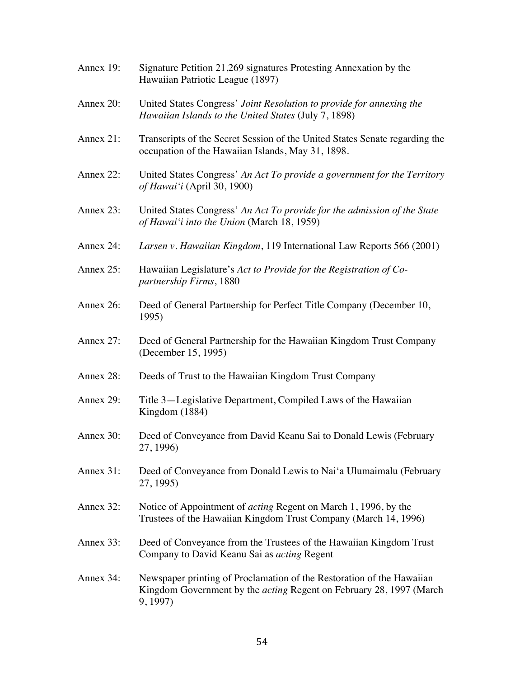| Annex 19: | Signature Petition 21,269 signatures Protesting Annexation by the<br>Hawaiian Patriotic League (1897)                                                           |
|-----------|-----------------------------------------------------------------------------------------------------------------------------------------------------------------|
| Annex 20: | United States Congress' Joint Resolution to provide for annexing the<br>Hawaiian Islands to the United States (July 7, 1898)                                    |
| Annex 21: | Transcripts of the Secret Session of the United States Senate regarding the<br>occupation of the Hawaiian Islands, May 31, 1898.                                |
| Annex 22: | United States Congress' An Act To provide a government for the Territory<br>of Hawai'i (April 30, 1900)                                                         |
| Annex 23: | United States Congress' An Act To provide for the admission of the State<br>of Hawai'i into the Union (March 18, 1959)                                          |
| Annex 24: | Larsen v. Hawaiian Kingdom, 119 International Law Reports 566 (2001)                                                                                            |
| Annex 25: | Hawaiian Legislature's Act to Provide for the Registration of Co-<br>partnership Firms, 1880                                                                    |
| Annex 26: | Deed of General Partnership for Perfect Title Company (December 10,<br>1995)                                                                                    |
| Annex 27: | Deed of General Partnership for the Hawaiian Kingdom Trust Company<br>(December 15, 1995)                                                                       |
| Annex 28: | Deeds of Trust to the Hawaiian Kingdom Trust Company                                                                                                            |
| Annex 29: | Title 3—Legislative Department, Compiled Laws of the Hawaiian<br>Kingdom (1884)                                                                                 |
| Annex 30: | Deed of Conveyance from David Keanu Sai to Donald Lewis (February<br>27, 1996)                                                                                  |
| Annex 31: | Deed of Conveyance from Donald Lewis to Nai'a Ulumaimalu (February<br>27, 1995)                                                                                 |
| Annex 32: | Notice of Appointment of <i>acting</i> Regent on March 1, 1996, by the<br>Trustees of the Hawaiian Kingdom Trust Company (March 14, 1996)                       |
| Annex 33: | Deed of Conveyance from the Trustees of the Hawaiian Kingdom Trust<br>Company to David Keanu Sai as <i>acting</i> Regent                                        |
| Annex 34: | Newspaper printing of Proclamation of the Restoration of the Hawaiian<br>Kingdom Government by the <i>acting</i> Regent on February 28, 1997 (March<br>9, 1997) |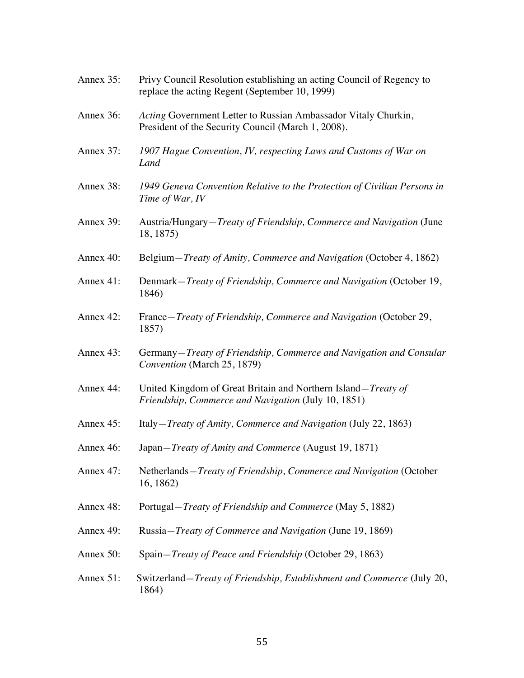| Annex 35: | Privy Council Resolution establishing an acting Council of Regency to<br>replace the acting Regent (September 10, 1999)      |
|-----------|------------------------------------------------------------------------------------------------------------------------------|
| Annex 36: | Acting Government Letter to Russian Ambassador Vitaly Churkin,<br>President of the Security Council (March 1, 2008).         |
| Annex 37: | 1907 Hague Convention, IV, respecting Laws and Customs of War on<br>Land                                                     |
| Annex 38: | 1949 Geneva Convention Relative to the Protection of Civilian Persons in<br>Time of War, IV                                  |
| Annex 39: | Austria/Hungary– <i>Treaty of Friendship, Commerce and Navigation</i> (June<br>18, 1875)                                     |
| Annex 40: | Belgium-Treaty of Amity, Commerce and Navigation (October 4, 1862)                                                           |
| Annex 41: | Denmark-Treaty of Friendship, Commerce and Navigation (October 19,<br>1846)                                                  |
| Annex 42: | France-Treaty of Friendship, Commerce and Navigation (October 29,<br>1857)                                                   |
| Annex 43: | Germany-Treaty of Friendship, Commerce and Navigation and Consular<br>Convention (March 25, 1879)                            |
| Annex 44: | United Kingdom of Great Britain and Northern Island– <i>Treaty of</i><br>Friendship, Commerce and Navigation (July 10, 1851) |
| Annex 45: | Italy- <i>Treaty of Amity, Commerce and Navigation</i> (July 22, 1863)                                                       |
| Annex 46: | Japan-Treaty of Amity and Commerce (August 19, 1871)                                                                         |
| Annex 47: | Netherlands-Treaty of Friendship, Commerce and Navigation (October<br>16, 1862)                                              |
| Annex 48: | Portugal– <i>Treaty of Friendship and Commerce</i> (May 5, 1882)                                                             |
| Annex 49: | Russia-Treaty of Commerce and Navigation (June 19, 1869)                                                                     |
| Annex 50: | Spain-Treaty of Peace and Friendship (October 29, 1863)                                                                      |
| Annex 51: | Switzerland– <i>Treaty of Friendship, Establishment and Commerce</i> (July 20,<br>1864)                                      |